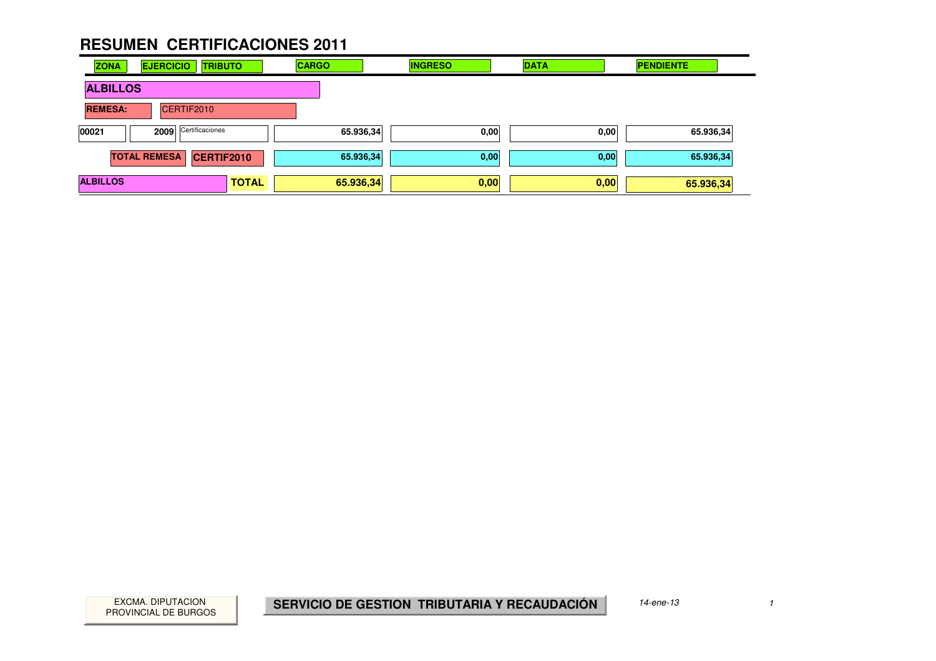| <b>ZONA</b>     | <b>EJERCICIO</b>    | <b>TRIBUTO</b>  | <b>CARGO</b> | <b>INGRESO</b> |      | <b>DATA</b> | <b>PENDIENTE</b> |           |
|-----------------|---------------------|-----------------|--------------|----------------|------|-------------|------------------|-----------|
| <b>ALBILLOS</b> |                     |                 |              |                |      |             |                  |           |
| <b>REMESA:</b>  | CERTIF2010          |                 |              |                |      |             |                  |           |
| 00021           | 2009                | Certificaciones | 65.936,34    |                | 0,00 | 0,00        |                  | 65.936,34 |
|                 | <b>TOTAL REMESA</b> | CERTIF2010      | 65.936,34    |                | 0,00 | 0,00        |                  | 65.936,34 |
| <b>ALBILLOS</b> |                     | <b>TOTAL</b>    | 65.936,34    |                | 0,00 | 0,00        |                  | 65.936,34 |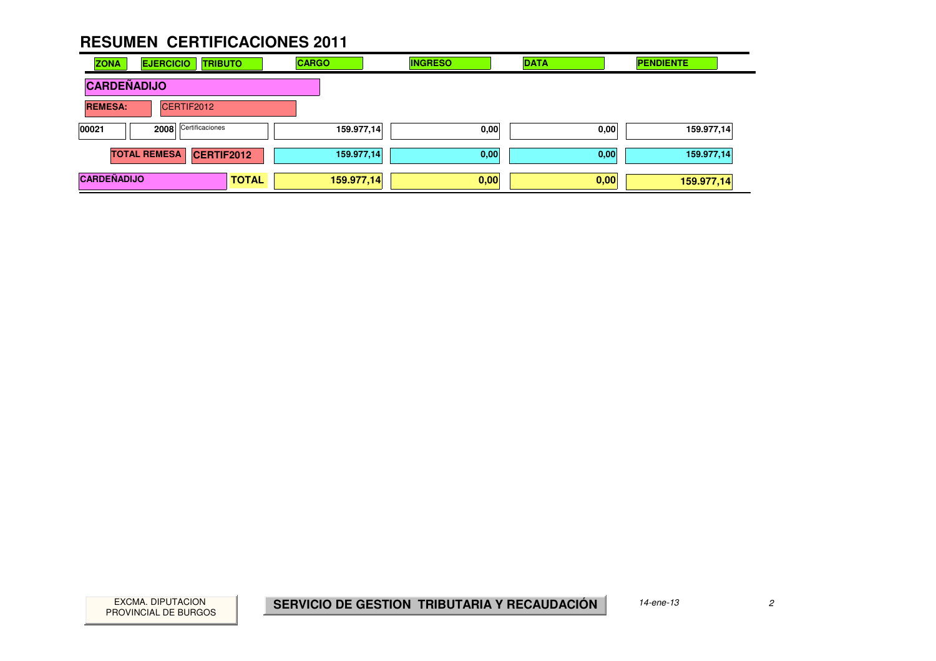| <b>ZONA</b>        | <b>EJERCICIO</b>    | <b>TRIBUTO</b>  |              | <b>CARGO</b> | <b>INGRESO</b> |      | <b>DATA</b> | <b>PENDIENTE</b> |  |
|--------------------|---------------------|-----------------|--------------|--------------|----------------|------|-------------|------------------|--|
| <b>CARDEÑADIJO</b> |                     |                 |              |              |                |      |             |                  |  |
| <b>REMESA:</b>     |                     | CERTIF2012      |              |              |                |      |             |                  |  |
| 00021              | 2008                | Certificaciones |              | 159.977,14   |                | 0,00 | 0,00        | 159.977,14       |  |
|                    | <b>TOTAL REMESA</b> | CERTIF2012      |              | 159.977,14   |                | 0,00 | 0,00        | 159.977,14       |  |
| <b>CARDEÑADIJO</b> |                     |                 | <b>TOTAL</b> | 159.977,14   |                | 0,00 | 0,00        | 159.977,14       |  |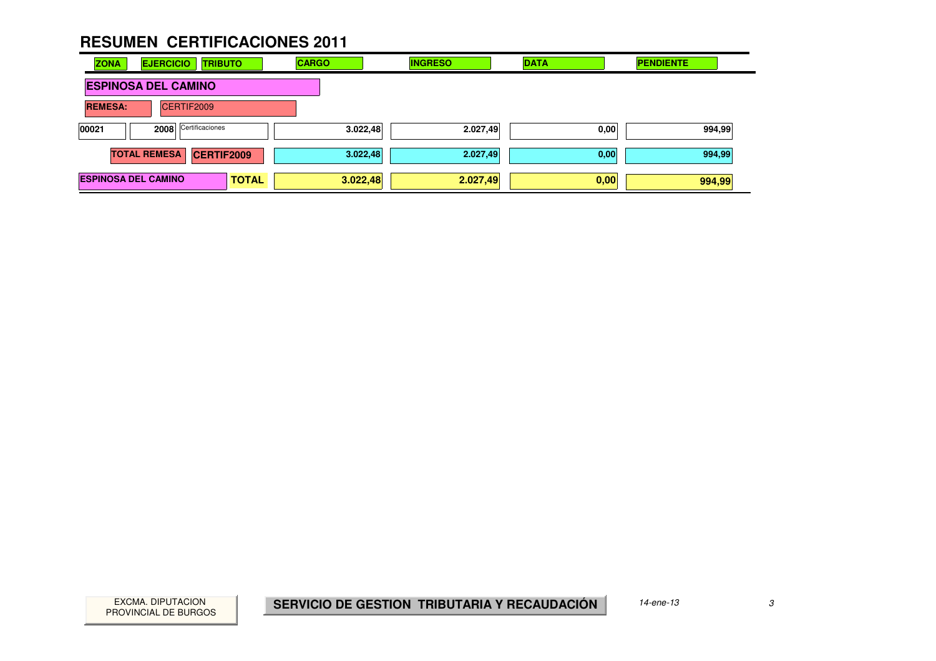| <b>ZONA</b>                | <b>EJERCICIO</b>           | <b>TRIBUTO</b>    | <b>CARGO</b> | <b>INGRESO</b> | <b>DATA</b> |      | <b>PENDIENTE</b> |  |
|----------------------------|----------------------------|-------------------|--------------|----------------|-------------|------|------------------|--|
|                            | <b>ESPINOSA DEL CAMINO</b> |                   |              |                |             |      |                  |  |
| <b>REMESA:</b>             | CERTIF2009                 |                   |              |                |             |      |                  |  |
| 00021                      | 2008 Certificaciones       |                   |              | 3.022,48       | 2.027,49    | 0,00 | 994,99           |  |
|                            | <b>TOTAL REMESA</b>        | <b>CERTIF2009</b> |              | 3.022,48       | 2.027,49    | 0,00 | 994,99           |  |
| <b>ESPINOSA DEL CAMINO</b> |                            | <b>TOTAL</b>      |              | 3.022,48       | 2.027,49    | 0,00 | 994,99           |  |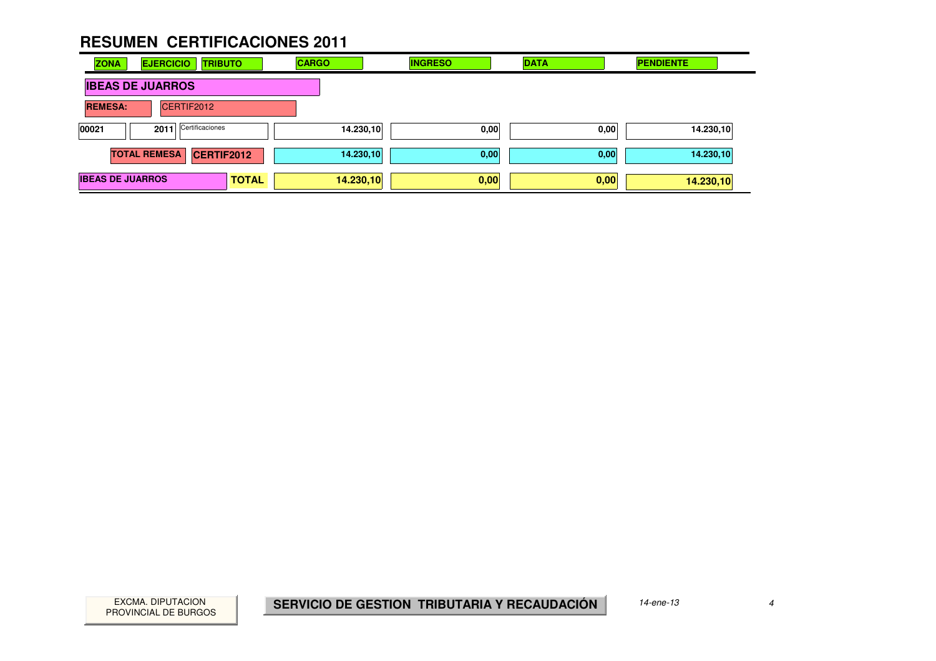| <b>ZONA</b>             | <b>EJERCICIO</b>    | <b>TRIBUTO</b>  |              | <b>CARGO</b> | <b>INGRESO</b> |      | <b>DATA</b> | <b>PENDIENTE</b> |  |
|-------------------------|---------------------|-----------------|--------------|--------------|----------------|------|-------------|------------------|--|
| <b>IBEAS DE JUARROS</b> |                     |                 |              |              |                |      |             |                  |  |
| <b>REMESA:</b>          |                     | CERTIF2012      |              |              |                |      |             |                  |  |
| 00021                   | 2011                | Certificaciones |              | 14.230,10    |                | 0,00 | 0,00        | 14.230,10        |  |
|                         | <b>TOTAL REMESA</b> | CERTIF2012      |              | 14.230,10    |                | 0,00 | 0,00        | 14.230,10        |  |
| <b>IBEAS DE JUARROS</b> |                     |                 | <b>TOTAL</b> | 14.230,10    |                | 0,00 | 0,00        | 14.230,10        |  |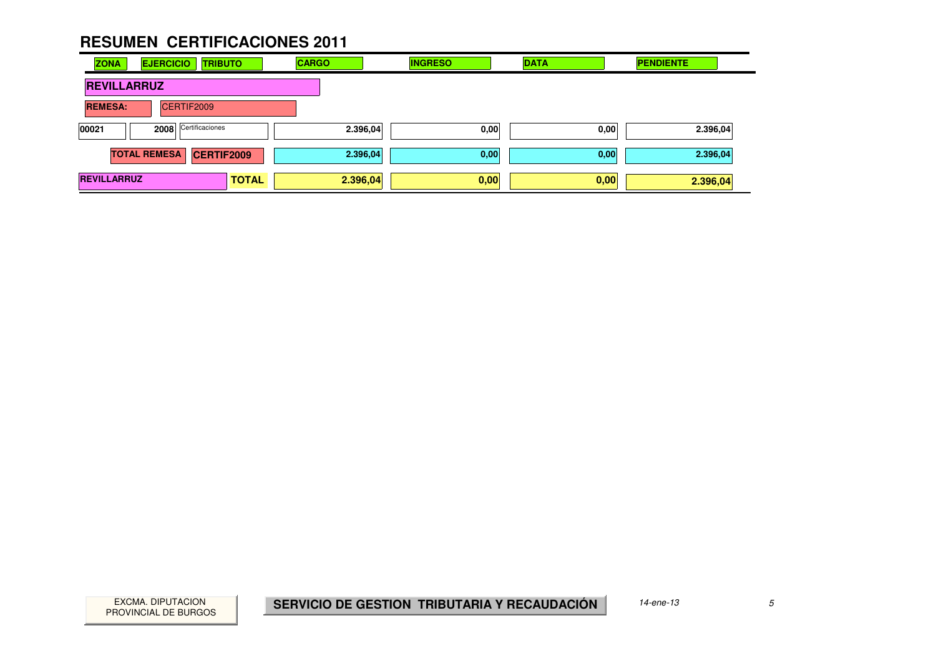| <b>ZONA</b>        | <b>EJERCICIO</b>    |                 | <b>TRIBUTO</b> | <b>CARGO</b> |          | <b>INGRESO</b> | <b>DATA</b> |      | <b>PENDIENTE</b> |  |
|--------------------|---------------------|-----------------|----------------|--------------|----------|----------------|-------------|------|------------------|--|
| <b>REVILLARRUZ</b> |                     |                 |                |              |          |                |             |      |                  |  |
| <b>REMESA:</b>     |                     | CERTIF2009      |                |              |          |                |             |      |                  |  |
| 00021              | 2008                | Certificaciones |                |              | 2.396,04 | 0,00           |             | 0,00 | 2.396,04         |  |
|                    | <b>TOTAL REMESA</b> |                 | CERTIF2009     |              | 2.396,04 | 0,00           |             | 0,00 | 2.396,04         |  |
| <b>REVILLARRUZ</b> |                     |                 | <b>TOTAL</b>   | 2.396,04     |          | 0,00           |             | 0,00 | 2.396,04         |  |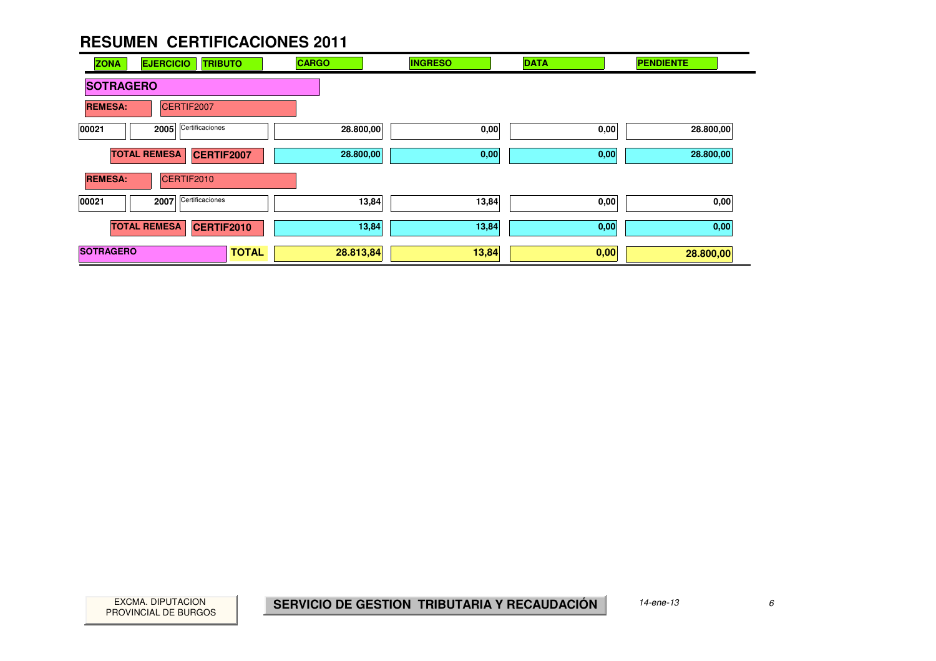| <b>ZONA</b>      | <b>EJERCICIO</b><br><b>TRIBUTO</b>       | <b>CARGO</b> | <b>INGRESO</b> | <b>DATA</b> | <b>PENDIENTE</b> |
|------------------|------------------------------------------|--------------|----------------|-------------|------------------|
| <b>SOTRAGERO</b> |                                          |              |                |             |                  |
| <b>REMESA:</b>   | CERTIF2007                               |              |                |             |                  |
| 00021            | Certificaciones<br>2005                  | 28.800,00    | 0,00           | 0,00        | 28.800,00        |
|                  | <b>TOTAL REMESA</b><br>CERTIF2007        | 28.800,00    | 0,00           | 0,00        | 28.800,00        |
| <b>REMESA:</b>   | CERTIF2010                               |              |                |             |                  |
| 00021            | Certificaciones<br>2007                  | 13,84        | 13,84          | 0,00        | 0,00             |
|                  | <b>TOTAL REMESA</b><br><b>CERTIF2010</b> | 13,84        | 13,84          | 0,00        | 0,00             |
| <b>SOTRAGERO</b> | <b>TOTAL</b>                             | 28.813,84    | 13,84          | 0,00        | 28.800,00        |

PROVINCIAL DE BURGOS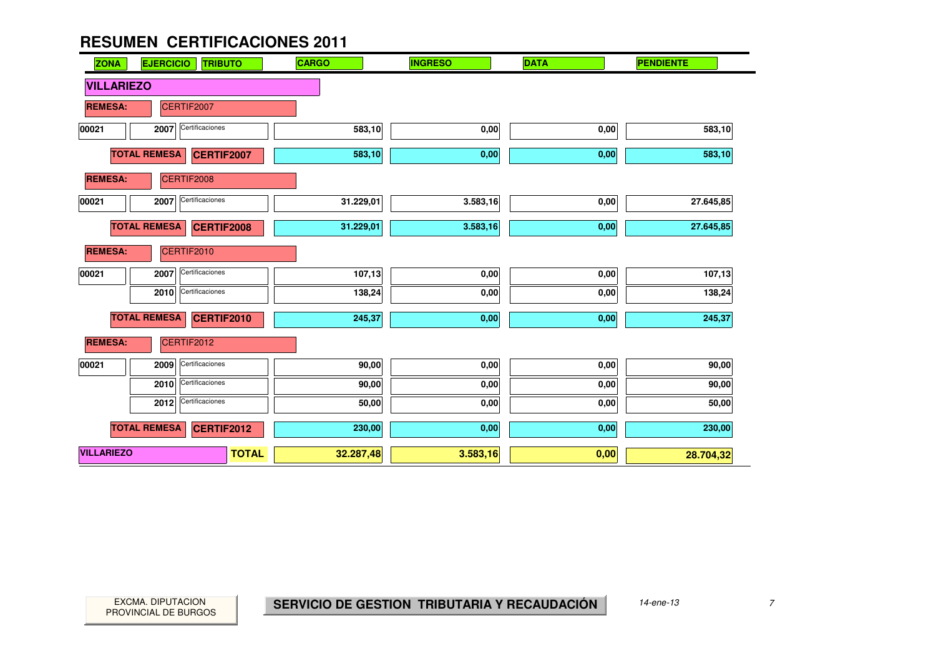| <b>ZONA</b>       | <b>EJERCICIO</b><br><b>TRIBUTO</b>       | <b>CARGO</b> | <b>INGRESO</b> | <b>DATA</b> | <b>PENDIENTE</b>    |
|-------------------|------------------------------------------|--------------|----------------|-------------|---------------------|
| <b>VILLARIEZO</b> |                                          |              |                |             |                     |
| <b>REMESA:</b>    | CERTIF2007                               |              |                |             |                     |
| 00021             | Certificaciones<br>2007                  | 583,10       | 0,00           | 0,00        | 583,10              |
|                   | <b>TOTAL REMESA</b><br><b>CERTIF2007</b> | 583,10       | 0,00           | 0,00        | 583,10              |
| <b>REMESA:</b>    | CERTIF2008                               |              |                |             |                     |
| 00021             | Certificaciones<br>2007                  | 31.229,01    | 3.583,16       | 0,00        | 27.645,85           |
|                   | <b>TOTAL REMESA</b><br><b>CERTIF2008</b> | 31.229,01    | 3.583,16       | 0,00        | 27.645,85           |
| <b>REMESA:</b>    | CERTIF2010                               |              |                |             |                     |
| 00021             | Certificaciones<br>2007                  | 107,13       | 0,00           | 0,00        | $\overline{107,}13$ |
|                   | Certificaciones<br>2010                  | 138,24       | 0,00           | 0,00        | 138,24              |
|                   | <b>TOTAL REMESA</b><br><b>CERTIF2010</b> | 245,37       | 0,00           | 0,00        | 245,37              |
| <b>REMESA:</b>    | CERTIF2012                               |              |                |             |                     |
| 00021             | Certificaciones<br>2009                  | 90,00        | 0,00           | 0,00        | 90,00               |
|                   | Certificaciones<br>2010                  | 90,00        | 0,00           | 0,00        | 90,00               |
|                   | Certificaciones<br>2012                  | 50,00        | 0,00           | 0,00        | 50,00               |
|                   | <b>TOTAL REMESA</b><br><b>CERTIF2012</b> | 230,00       | 0,00           | 0,00        | 230,00              |
| <b>VILLARIEZO</b> | <b>TOTAL</b>                             | 32.287,48    | 3.583,16       | 0,00        | 28.704,32           |

 $\mathcal{L}_{\mathcal{A}}$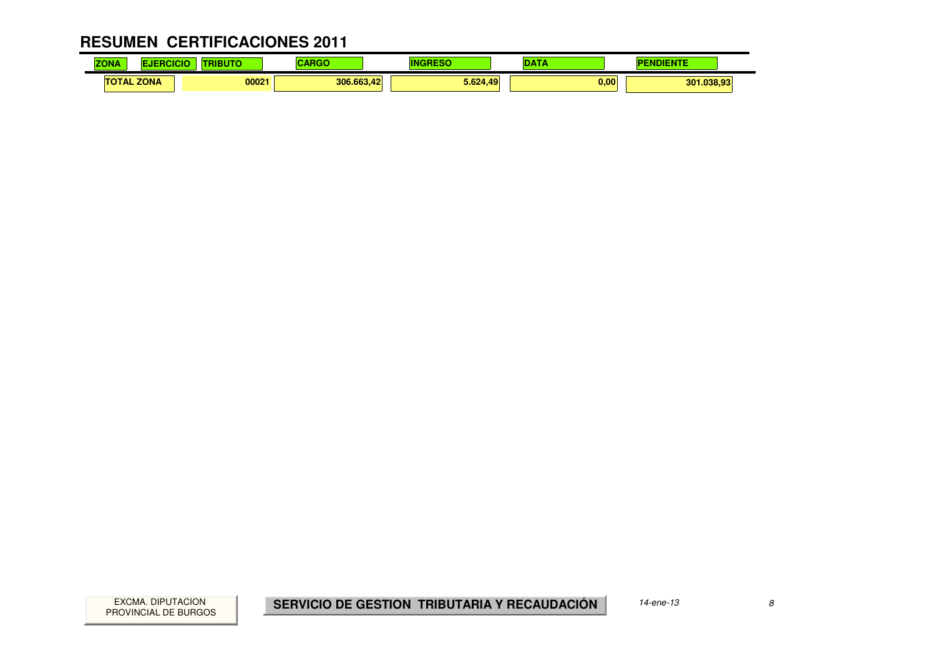#### **RESUMEN CERTIFICACIONES 2011** $\mathbf{r}$

| <b>ZONA</b>       | .<br>3 U | $-1 - 1$   |          | $\sim$ | <b><i><u>PARTIES</u></i></b><br>. |
|-------------------|----------|------------|----------|--------|-----------------------------------|
| <b>TOTAL ZONA</b> | 00021    | 306.663.42 | 5.624.49 | 0.00   | 301<br>1.038.93                   |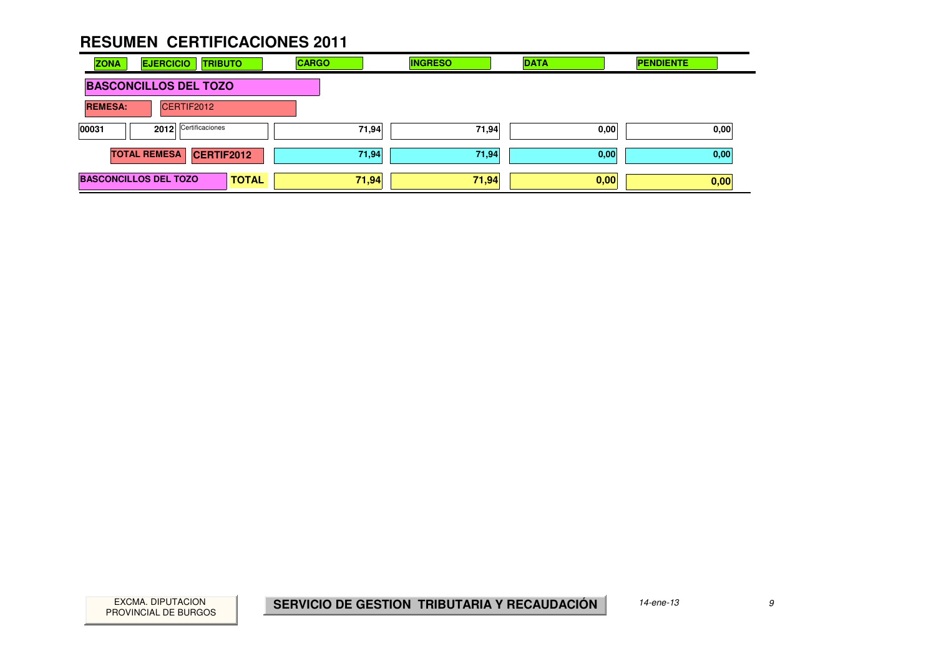| <b>ZONA</b>                  | <b>EJERCICIO</b>    |                 | <b>TRIBUTO</b> | <b>CARGO</b> |       | <b>INGRESO</b> | <b>DATA</b> |      | <b>PENDIENTE</b> |      |
|------------------------------|---------------------|-----------------|----------------|--------------|-------|----------------|-------------|------|------------------|------|
| <b>BASCONCILLOS DEL TOZO</b> |                     |                 |                |              |       |                |             |      |                  |      |
| <b>REMESA:</b>               |                     | CERTIF2012      |                |              |       |                |             |      |                  |      |
| 00031                        | 2012                | Certificaciones |                |              | 71.94 | 71.94          |             | 0,00 |                  | 0,00 |
|                              | <b>TOTAL REMESA</b> |                 | CERTIF2012     |              | 71,94 | 71,94          |             | 0,00 |                  | 0,00 |
| <b>BASCONCILLOS DEL TOZO</b> |                     |                 | <b>TOTAL</b>   |              | 71,94 | 71,94          |             | 0,00 |                  | 0,00 |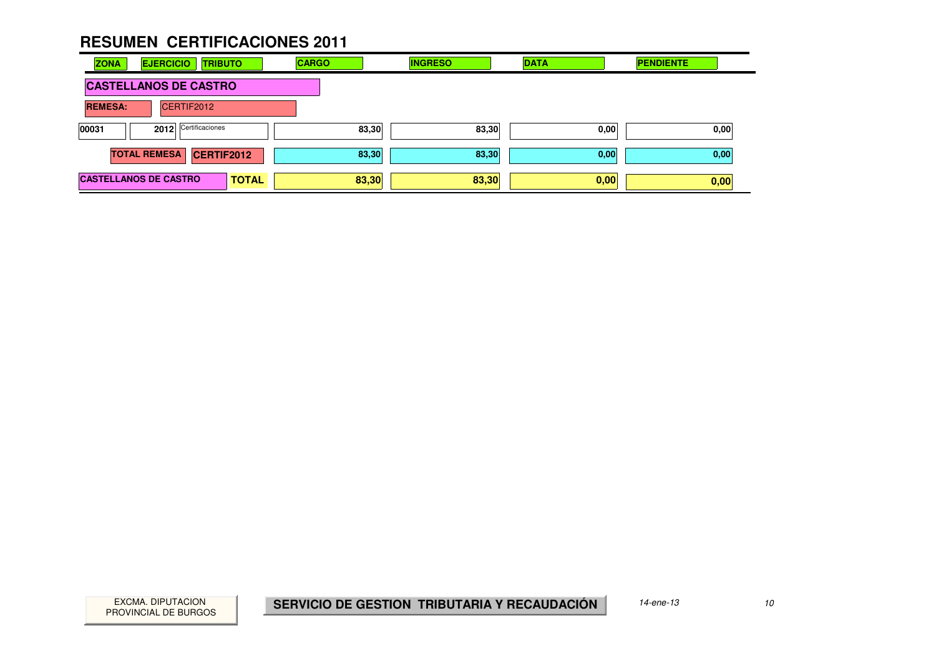| <b>ZONA</b>    | <b>EJERCICIO</b><br><b>TRIBUTO</b> |              | <b>CARGO</b> | <b>INGRESO</b> | <b>DATA</b> | <b>PENDIENTE</b> |
|----------------|------------------------------------|--------------|--------------|----------------|-------------|------------------|
|                | <b>CASTELLANOS DE CASTRO</b>       |              |              |                |             |                  |
| <b>REMESA:</b> | CERTIF2012                         |              |              |                |             |                  |
| 00031          | 2012 Certificaciones               |              | 83,30        | 83,30          | 0,00        | 0,00             |
|                | <b>TOTAL REMESA</b><br>CERTIF2012  |              | 83,30        | 83,30          | 0,00        | 0,00             |
|                | <b>CASTELLANOS DE CASTRO</b>       | <b>TOTAL</b> | 83,30        | 83,30          | 0,00        | 0,00             |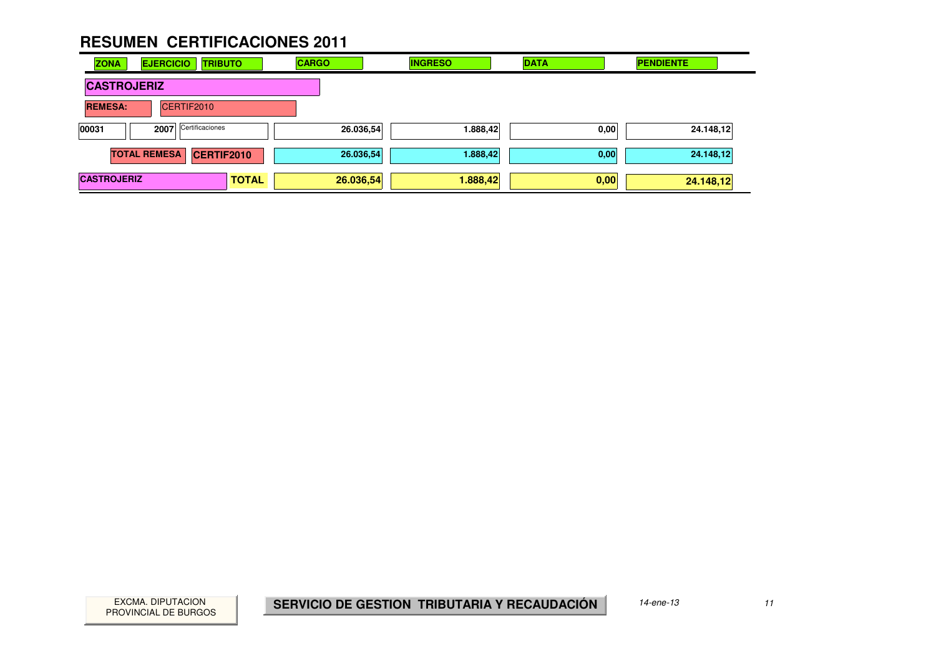| <b>ZONA</b>        | <b>EJERCICIO</b>    | <b>TRIBUTO</b>  |              | <b>CARGO</b> | <b>INGRESO</b> | <b>DATA</b> | <b>PENDIENTE</b> |  |
|--------------------|---------------------|-----------------|--------------|--------------|----------------|-------------|------------------|--|
| <b>CASTROJERIZ</b> |                     |                 |              |              |                |             |                  |  |
| <b>REMESA:</b>     |                     | CERTIF2010      |              |              |                |             |                  |  |
| 00031              | 2007                | Certificaciones |              | 26.036,54    | 1.888,42       | 0,00        | 24.148,12        |  |
|                    | <b>TOTAL REMESA</b> | CERTIF2010      |              | 26.036,54    | 1.888,42       | 0,00        | 24.148,12        |  |
| <b>CASTROJERIZ</b> |                     |                 | <b>TOTAL</b> | 26.036,54    | 1.888,42       | 0,00        | 24.148,12        |  |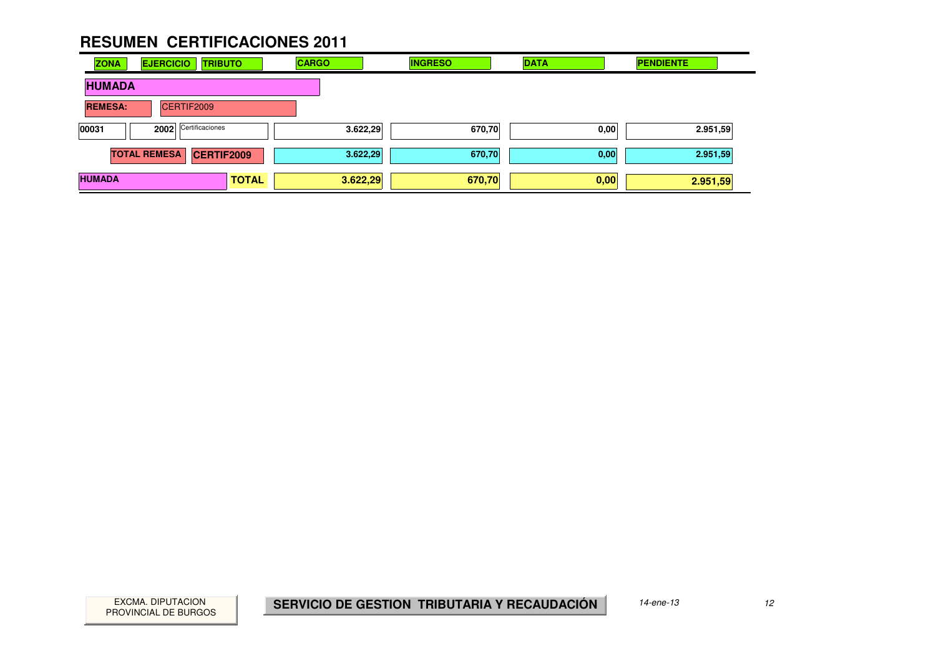| <b>ZONA</b>    | <b>EJERCICIO</b><br><b>TRIBUTO</b> | <b>CARGO</b> | <b>INGRESO</b> | <b>DATA</b> | <b>PENDIENTE</b> |
|----------------|------------------------------------|--------------|----------------|-------------|------------------|
| <b>HUMADA</b>  |                                    |              |                |             |                  |
| <b>REMESA:</b> | CERTIF2009                         |              |                |             |                  |
| 00031          | 2002 Certificaciones               | 3.622,29     | 670,70         | 0,00        | 2.951,59         |
|                | <b>TOTAL REMESA</b><br>CERTIF2009  | 3.622,29     | 670,70         | 0,00        | 2.951,59         |
| <b>HUMADA</b>  | <b>TOTAL</b>                       | 3.622,29     | 670,70         | 0,00        | 2.951,59         |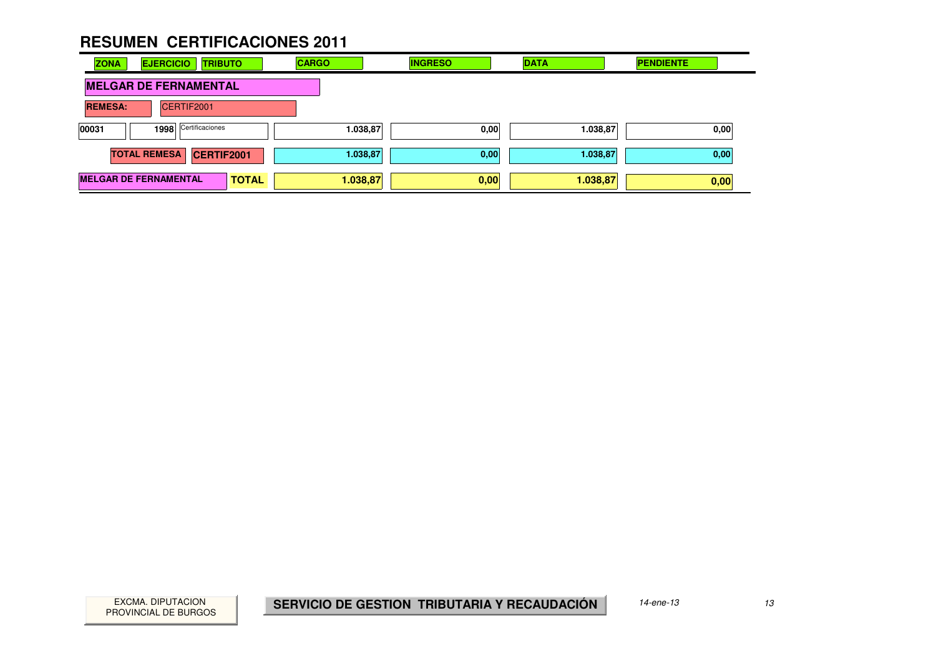| <b>ZONA</b>                  | <b>EJERCICIO</b>    |                 | <b>TRIBUTO</b> | <b>CARGO</b> |          | <b>INGRESO</b> | <b>DATA</b> | <b>PENDIENTE</b> |      |
|------------------------------|---------------------|-----------------|----------------|--------------|----------|----------------|-------------|------------------|------|
| <b>MELGAR DE FERNAMENTAL</b> |                     |                 |                |              |          |                |             |                  |      |
| <b>REMESA:</b>               |                     | CERTIF2001      |                |              |          |                |             |                  |      |
| 00031                        | 1998                | Certificaciones |                |              | 1.038,87 | 0,00           | 1.038,87    |                  | 0,00 |
|                              | <b>TOTAL REMESA</b> | CERTIF2001      |                |              | 1.038,87 | 0,00           | 1.038,87    |                  | 0,00 |
| <b>MELGAR DE FERNAMENTAL</b> |                     |                 | <b>TOTAL</b>   |              | 1.038,87 | 0,00           | 1.038,87    |                  | 0,00 |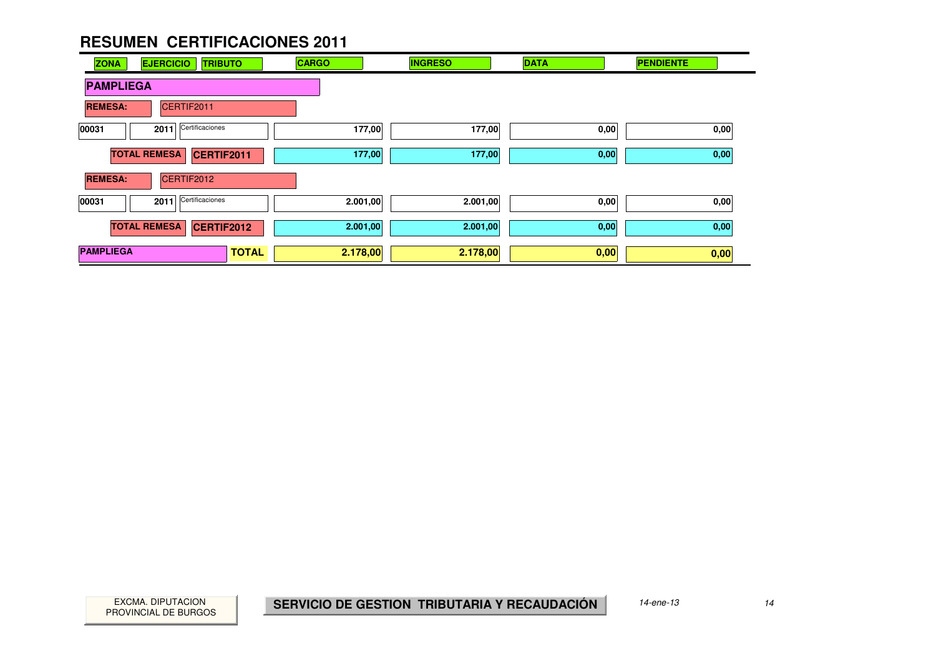| <b>ZONA</b>      | <b>EJERCICIO</b><br><b>TRIBUTO</b>       | <b>CARGO</b> | <b>INGRESO</b> | <b>DATA</b> | <b>PENDIENTE</b> |
|------------------|------------------------------------------|--------------|----------------|-------------|------------------|
| <b>PAMPLIEGA</b> |                                          |              |                |             |                  |
| <b>REMESA:</b>   | CERTIF2011                               |              |                |             |                  |
| 00031            | Certificaciones<br>2011                  | 177,00       | 177,00         | 0,00        | 0,00             |
|                  | <b>TOTAL REMESA</b><br>CERTIF2011        | 177,00       | 177,00         | 0,00        | 0,00             |
| <b>REMESA:</b>   | CERTIF2012                               |              |                |             |                  |
| 00031            | Certificaciones<br>2011                  | 2.001,00     | 2.001,00       | 0,00        | 0,00             |
|                  | <b>TOTAL REMESA</b><br><b>CERTIF2012</b> | 2.001,00     | 2.001,00       | 0,00        | 0,00             |
| <b>PAMPLIEGA</b> | <b>TOTAL</b>                             | 2.178,00     | 2.178,00       | 0,00        | 0,00             |

PROVINCIAL DE BURGOS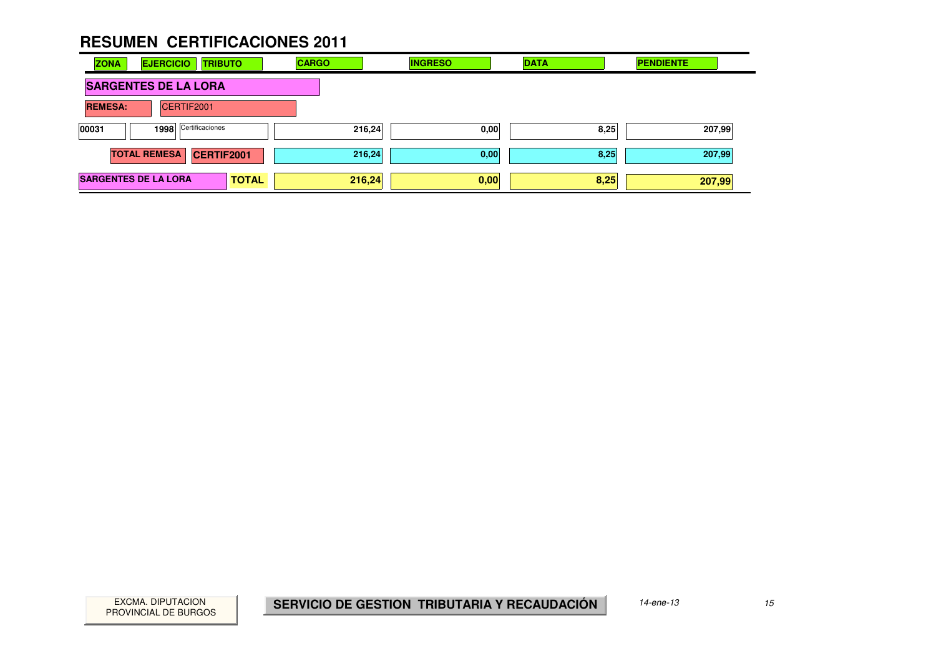| <b>ZONA</b>    | <b>EJERCICIO</b><br><b>TRIBUTO</b> |              | <b>CARGO</b> | <b>INGRESO</b> | <b>DATA</b> | <b>PENDIENTE</b> |
|----------------|------------------------------------|--------------|--------------|----------------|-------------|------------------|
|                | <b>SARGENTES DE LA LORA</b>        |              |              |                |             |                  |
| <b>REMESA:</b> | CERTIF2001                         |              |              |                |             |                  |
| 00031          | 1998 Certificaciones               |              | 216,24       | 0,00           | 8,25        | 207,99           |
|                | <b>TOTAL REMESA</b><br>CERTIF2001  |              | 216,24       | 0,00           | 8,25        | 207,99           |
|                | <b>SARGENTES DE LA LORA</b>        | <b>TOTAL</b> | 216,24       | 0,00           | 8,25        | 207,99           |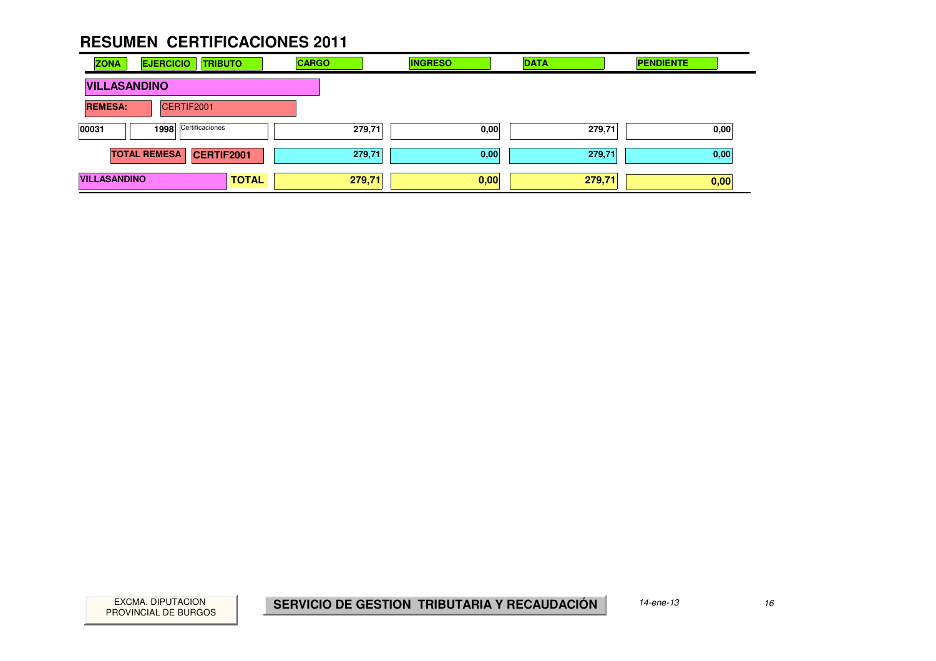| <b>ZONA</b>         | <b>EJERCICIO</b>    | <b>TRIBUTO</b>  |              | <b>CARGO</b> |        | <b>INGRESO</b> | <b>DATA</b> | <b>PENDIENTE</b> |      |
|---------------------|---------------------|-----------------|--------------|--------------|--------|----------------|-------------|------------------|------|
| <b>VILLASANDINO</b> |                     |                 |              |              |        |                |             |                  |      |
| <b>REMESA:</b>      |                     | CERTIF2001      |              |              |        |                |             |                  |      |
| 00031               | 1998                | Certificaciones |              |              | 279,71 | 0,00           | 279,71      |                  | 0,00 |
|                     | <b>TOTAL REMESA</b> | CERTIF2001      |              |              | 279,71 | 0,00           | 279,71      |                  | 0,00 |
| <b>VILLASANDINO</b> |                     |                 | <b>TOTAL</b> |              | 279,71 | 0,00           | 279,71      |                  | 0,00 |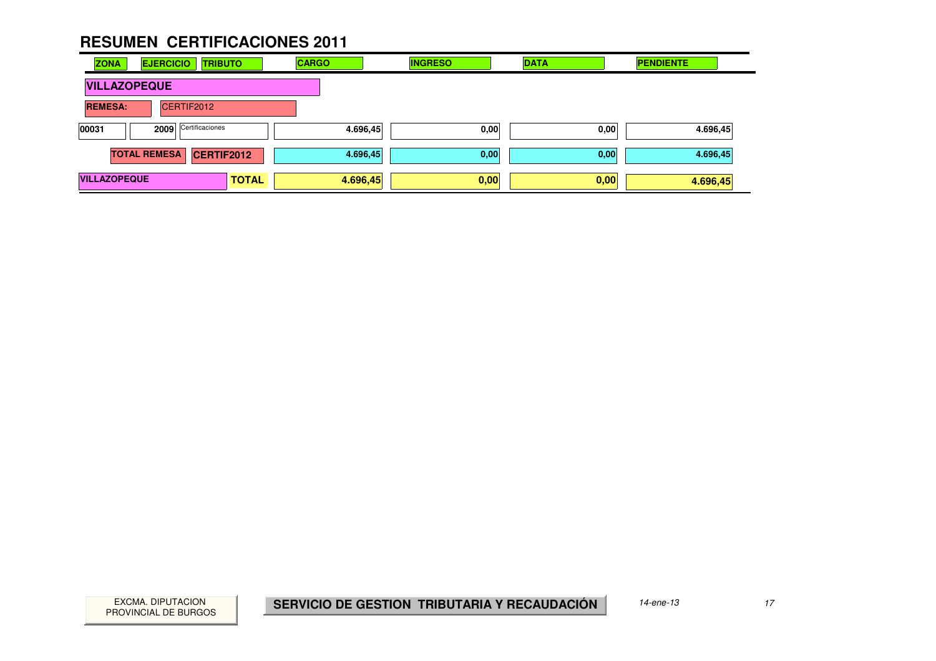| <b>ZONA</b>         | <b>EJERCICIO</b><br><b>TRIBUTO</b>       | <b>CARGO</b> | <b>INGRESO</b> | <b>DATA</b> |      | <b>PENDIENTE</b> |
|---------------------|------------------------------------------|--------------|----------------|-------------|------|------------------|
| <b>VILLAZOPEQUE</b> |                                          |              |                |             |      |                  |
| <b>REMESA:</b>      | CERTIF2012                               |              |                |             |      |                  |
| 00031               | Certificaciones<br>2009                  |              | 4.696,45       | 0,00        | 0,00 | 4.696,45         |
|                     | <b>TOTAL REMESA</b><br><b>CERTIF2012</b> |              | 4.696,45       | 0,00        | 0,00 | 4.696,45         |
| <b>VILLAZOPEQUE</b> |                                          | <b>TOTAL</b> | 4.696,45       | 0,00        | 0,00 | 4.696,45         |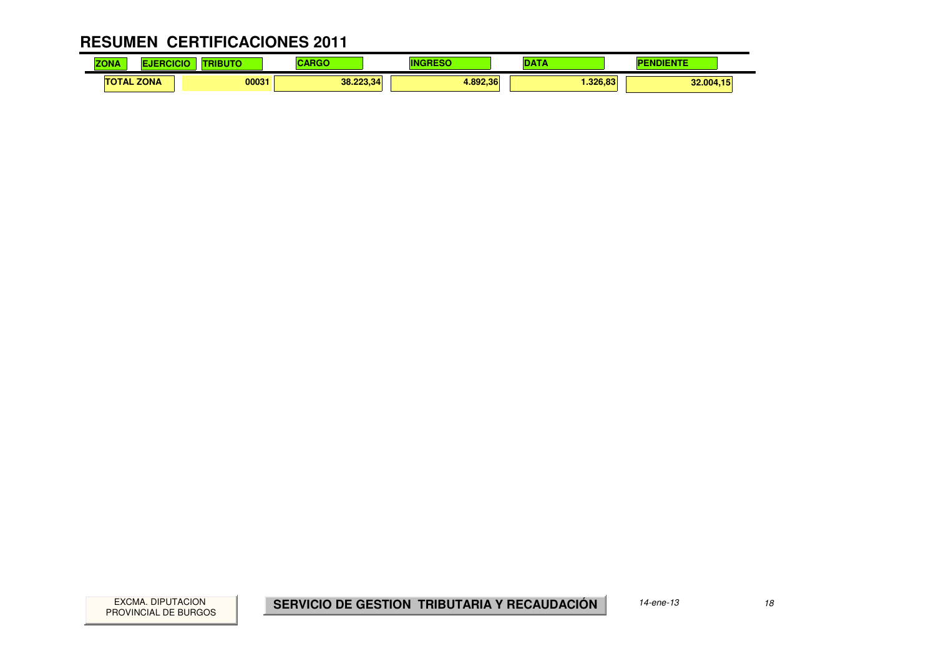#### **RESUMEN CERTIFICACIONES 2011** $\mathbf{r}$

| <b>ZONA</b>       | <b>ALCOHOL:</b><br>3 U | 1.7.7.7   |          | $-$     | <b><i><u>PARTICULAR</u></i></b><br>. |
|-------------------|------------------------|-----------|----------|---------|--------------------------------------|
| <b>TOTAL ZONA</b> | 00031                  | 38.223,34 | 4.892.36 | .326.83 | 32.004,15                            |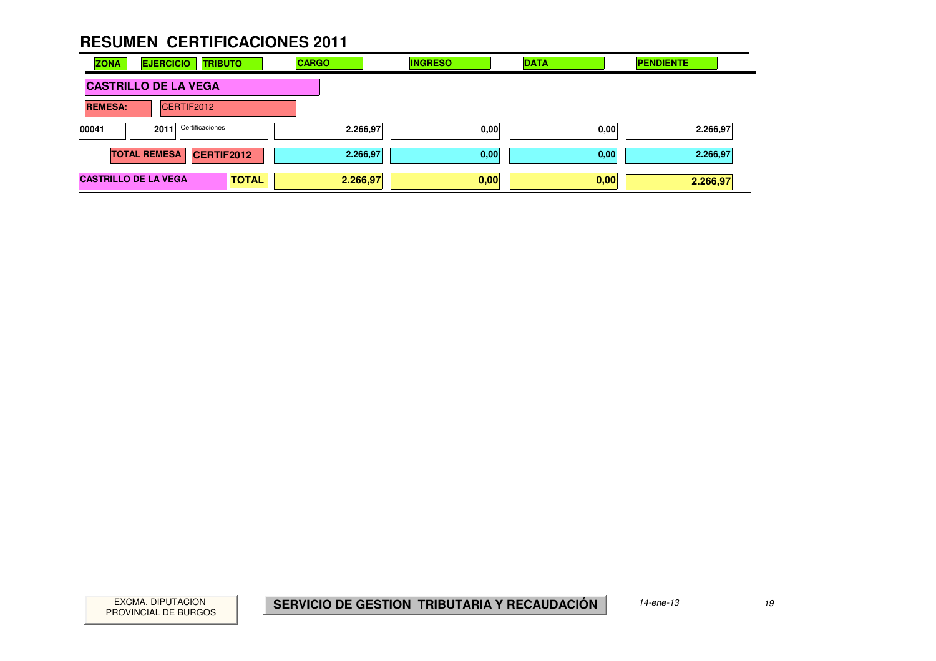| <b>ZONA</b>                 | <b>EJERCICIO</b><br><b>TRIBUTO</b> | <b>CARGO</b> |          | <b>INGRESO</b> | <b>DATA</b> | <b>PENDIENTE</b> |  |
|-----------------------------|------------------------------------|--------------|----------|----------------|-------------|------------------|--|
|                             | <b>CASTRILLO DE LA VEGA</b>        |              |          |                |             |                  |  |
| <b>REMESA:</b>              | CERTIF2012                         |              |          |                |             |                  |  |
| 00041                       | Certificaciones<br>2011            |              | 2.266,97 | 0,00           | 0,00        | 2.266,97         |  |
|                             | <b>TOTAL REMESA</b><br>CERTIF2012  |              | 2.266,97 | 0,00           | 0,00        | 2.266,97         |  |
| <b>CASTRILLO DE LA VEGA</b> |                                    | <b>TOTAL</b> | 2.266,97 | 0,00           | 0,00        | 2.266,97         |  |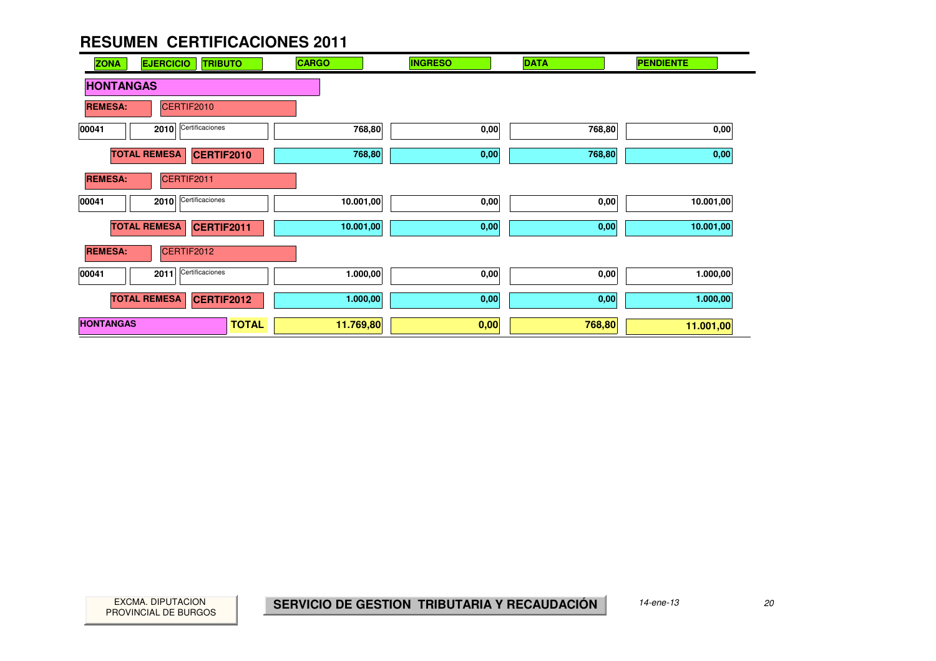| <b>EJERCICIO</b><br><b>ZONA</b><br><b>TRIBUTO</b> | <b>CARGO</b> | <b>INGRESO</b> | <b>DATA</b> | <b>PENDIENTE</b> |
|---------------------------------------------------|--------------|----------------|-------------|------------------|
| <b>HONTANGAS</b>                                  |              |                |             |                  |
| CERTIF2010<br><b>REMESA:</b>                      |              |                |             |                  |
| Certificaciones<br>2010<br>00041                  | 768,80       | 0,00           | 768,80      | 0,00             |
| <b>TOTAL REMESA</b><br><b>CERTIF2010</b>          | 768,80       | 0,00           | 768,80      | 0,00             |
| <b>REMESA:</b><br>CERTIF2011                      |              |                |             |                  |
| Certificaciones<br>00041<br>2010                  | 10.001,00    | 0,00           | 0,00        | 10.001,00        |
| <b>TOTAL REMESA</b><br>CERTIF2011                 | 10.001,00    | 0,00           | 0,00        | 10.001,00        |
| CERTIF2012<br><b>REMESA:</b>                      |              |                |             |                  |
| Certificaciones<br>00041<br>2011                  | 1.000,00     | 0,00           | 0,00        | 1.000,00         |
| <b>TOTAL REMESA</b><br><b>CERTIF2012</b>          | 1.000,00     | 0,00           | 0,00        | 1.000,00         |
| <b>HONTANGAS</b><br><b>TOTAL</b>                  | 11.769,80    | 0,00           | 768,80      | 11.001,00        |

and the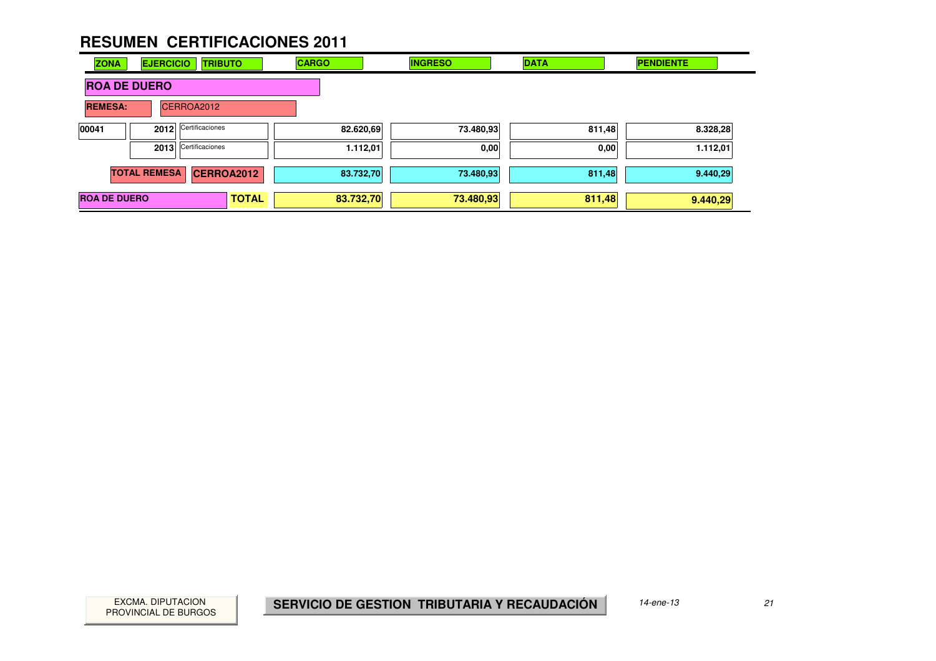| <b>ZONA</b>         | <b>EJERCICIO</b>    | <b>TRIBUTO</b>       |              | <b>CARGO</b> | <b>INGRESO</b> | <b>DATA</b> | <b>PENDIENTE</b> |
|---------------------|---------------------|----------------------|--------------|--------------|----------------|-------------|------------------|
| <b>ROA DE DUERO</b> |                     |                      |              |              |                |             |                  |
| <b>REMESA:</b>      |                     | CERROA2012           |              |              |                |             |                  |
| 00041               |                     | 2012 Certificaciones |              | 82.620,69    | 73.480,93      | 811,48      | 8.328,28         |
|                     |                     | 2013 Certificaciones |              | 1.112,01     | 0,00           | 0,00        | 1.112,01         |
|                     | <b>TOTAL REMESA</b> | CERROA2012           |              | 83.732,70    | 73.480,93      | 811,48      | 9.440,29         |
| <b>ROA DE DUERO</b> |                     |                      | <b>TOTAL</b> | 83.732,70    | 73.480,93      | 811,48      | 9.440,29         |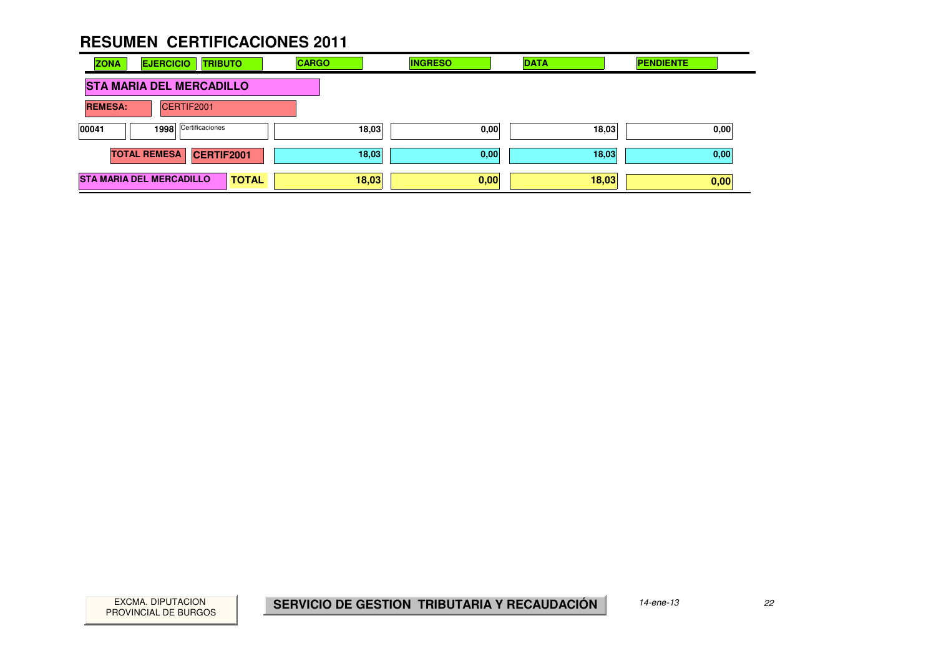| <b>ZONA</b>    | <b>EJERCICIO</b><br><b>TRIBUTO</b>              | <b>CARGO</b> | <b>INGRESO</b> | <b>DATA</b> | <b>PENDIENTE</b> |
|----------------|-------------------------------------------------|--------------|----------------|-------------|------------------|
|                | <b>STA MARIA DEL MERCADILLO</b>                 |              |                |             |                  |
| <b>REMESA:</b> | CERTIF2001                                      |              |                |             |                  |
| 00041          | 1998 Certificaciones                            | 18,03        | 0,00           | 18,03       | 0,00             |
|                | <b>TOTAL REMESA</b><br>CERTIF2001               | 18,03        | 0,00           | 18,03       | 0,00             |
|                | <b>STA MARIA DEL MERCADILLO</b><br><b>TOTAL</b> | 18,03        | 0,00           | 18,03       | 0,00             |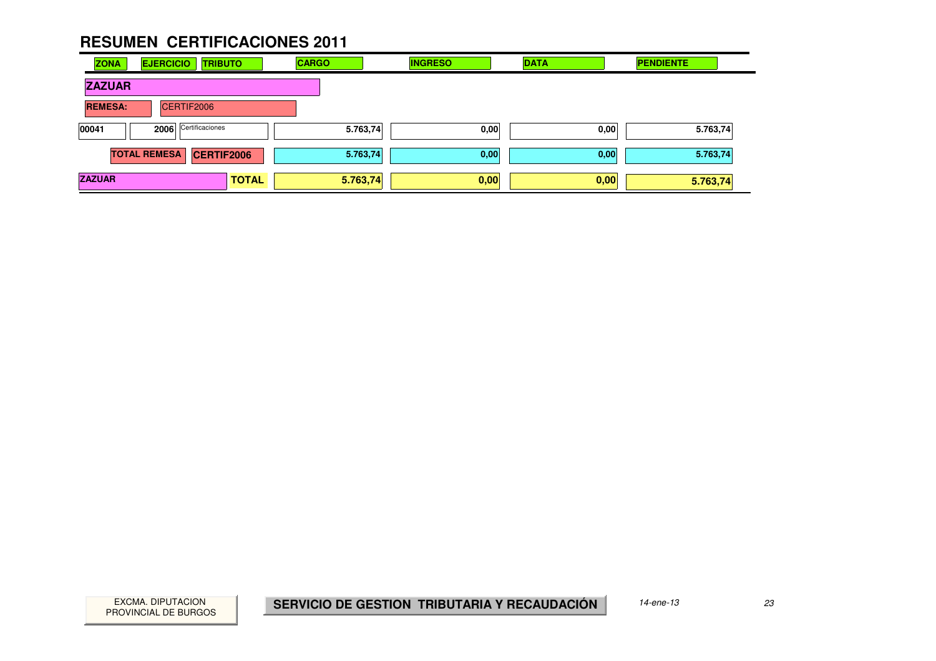| <b>ZONA</b>    | <b>EJERCICIO</b>    |            | <b>TRIBUTO</b>  |              | <b>CARGO</b> |          | <b>INGRESO</b> |      | <b>DATA</b> |      | <b>PENDIENTE</b> |  |
|----------------|---------------------|------------|-----------------|--------------|--------------|----------|----------------|------|-------------|------|------------------|--|
| <b>ZAZUAR</b>  |                     |            |                 |              |              |          |                |      |             |      |                  |  |
| <b>REMESA:</b> |                     | CERTIF2006 |                 |              |              |          |                |      |             |      |                  |  |
| 00041          | 2006                |            | Certificaciones |              |              | 5.763,74 |                | 0,00 |             | 0,00 | 5.763,74         |  |
|                | <b>TOTAL REMESA</b> |            | CERTIF2006      |              |              | 5.763,74 |                | 0,00 |             | 0,00 | 5.763,74         |  |
| <b>ZAZUAR</b>  |                     |            |                 | <b>TOTAL</b> |              | 5.763,74 |                | 0,00 |             | 0,00 | 5.763,74         |  |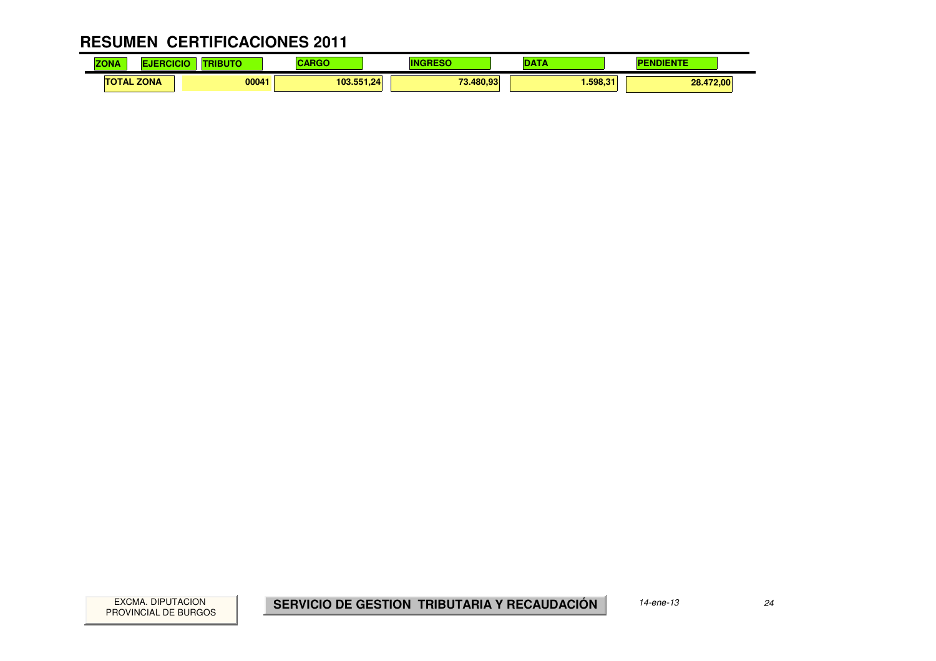#### **RESUMEN CERTIFICACIONES 2011** $\mathbf{r}$

| $-0.000$<br>70<br>NÆ | . .         |       | ---        | m         | . .     |           |
|----------------------|-------------|-------|------------|-----------|---------|-----------|
| ΤО<br>TAL            | <b>ZONA</b> | 00041 | 103.551,24 | 73.480.93 | .598.31 | 28.472,00 |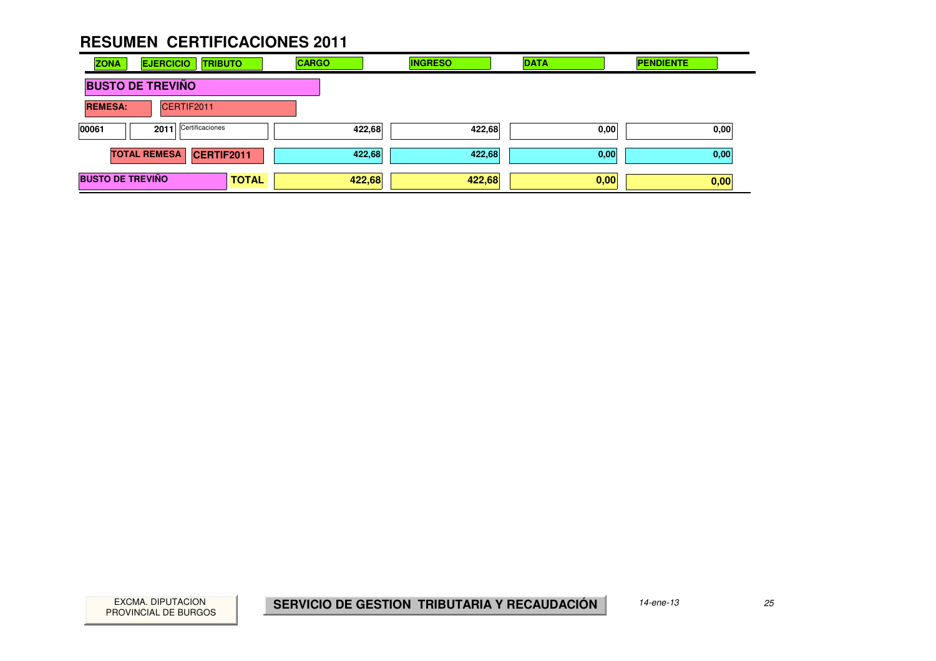| <b>ZONA</b>             | <b>EJERCICIO</b><br><b>TRIBUTO</b> |              | <b>CARGO</b> | <b>INGRESO</b> | <b>DATA</b> | <b>PENDIENTE</b> |
|-------------------------|------------------------------------|--------------|--------------|----------------|-------------|------------------|
|                         | <b>BUSTO DE TREVIÑO</b>            |              |              |                |             |                  |
| <b>REMESA:</b>          | CERTIF2011                         |              |              |                |             |                  |
| 00061                   | Certificaciones<br>2011            |              | 422,68       | 422,68         | 0,00        | 0,00             |
|                         | <b>TOTAL REMESA</b><br>CERTIF2011  |              | 422,68       | 422,68         | 0,00        | 0,00             |
| <b>BUSTO DE TREVIÑO</b> |                                    | <b>TOTAL</b> | 422,68       | 422,68         | 0,00        | 0,00             |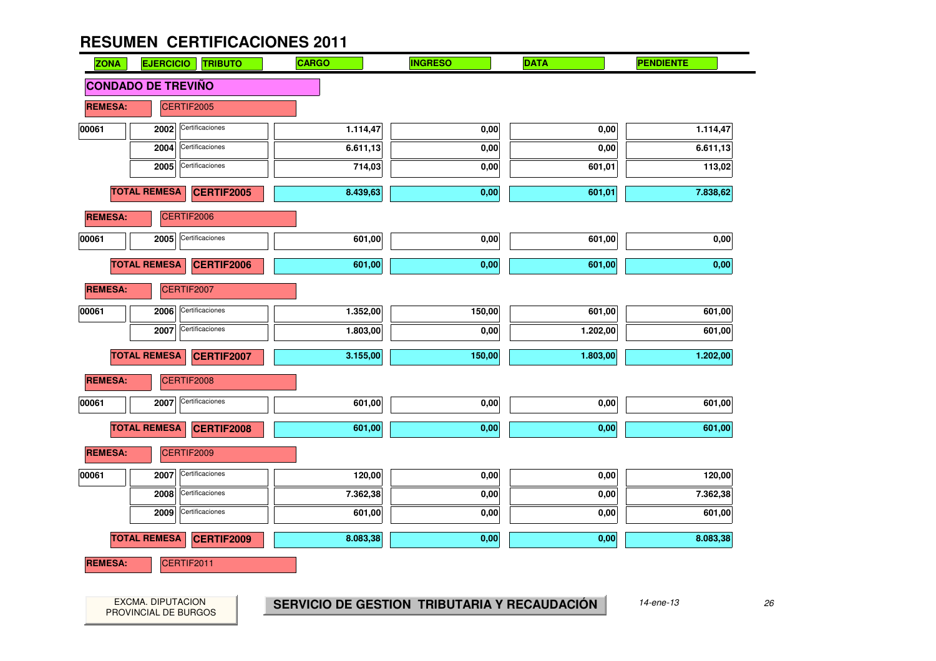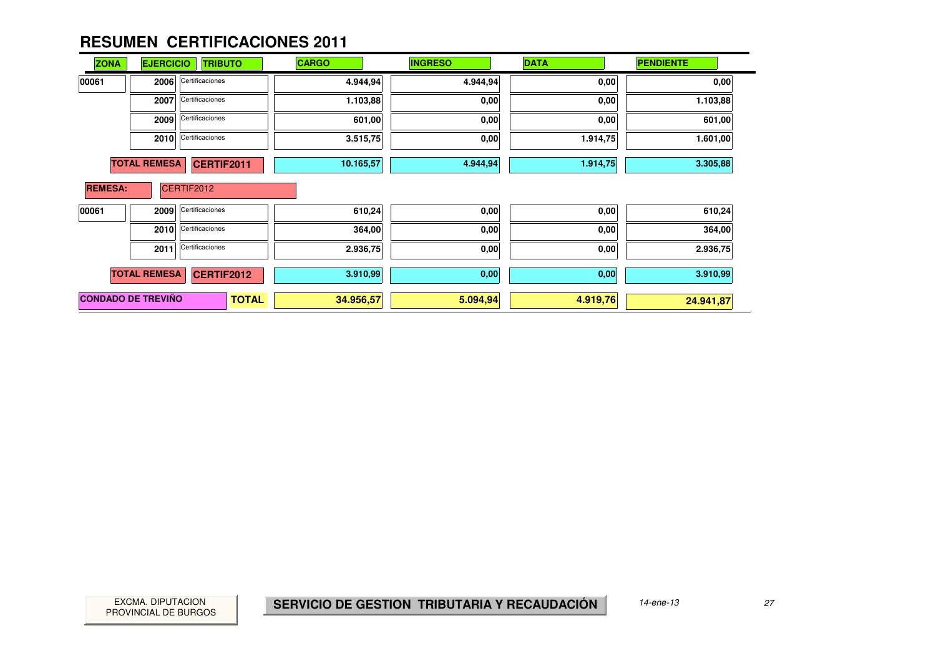| <b>ZONA</b>    | <b>EJERCICIO</b>          | <b>TRIBUTO</b>  | <b>CARGO</b> | <b>INGRESO</b> | <b>DATA</b> | <b>PENDIENTE</b> |
|----------------|---------------------------|-----------------|--------------|----------------|-------------|------------------|
| 00061          | 2006                      | Certificaciones | 4.944,94     | 4.944,94       | 0,00        | 0,00             |
|                | 2007                      | Certificaciones | 1.103,88     | 0,00           | 0,00        | 1.103,88         |
|                | 2009                      | Certificaciones | 601,00       | 0,00           | 0,00        | 601,00           |
|                | 2010                      | Certificaciones | 3.515,75     | 0,00           | 1.914,75    | 1.601,00         |
|                | <b>TOTAL REMESA</b>       | CERTIF2011      | 10.165,57    | 4.944,94       | 1.914,75    | 3.305,88         |
| <b>REMESA:</b> |                           | CERTIF2012      |              |                |             |                  |
| 00061          | 2009                      | Certificaciones | 610,24       | 0,00           | 0,00        | 610,24           |
|                | 2010                      | Certificaciones | 364,00       | 0,00           | 0,00        | 364,00           |
|                | 2011                      | Certificaciones | 2.936,75     | 0,00           | 0,00        | 2.936,75         |
|                | <b>TOTAL REMESA</b>       | CERTIF2012      | 3.910,99     | 0,00           | 0,00        | 3.910,99         |
|                | <b>CONDADO DE TREVIÑO</b> | <b>TOTAL</b>    | 34.956,57    | 5.094,94       | 4.919,76    | 24.941,87        |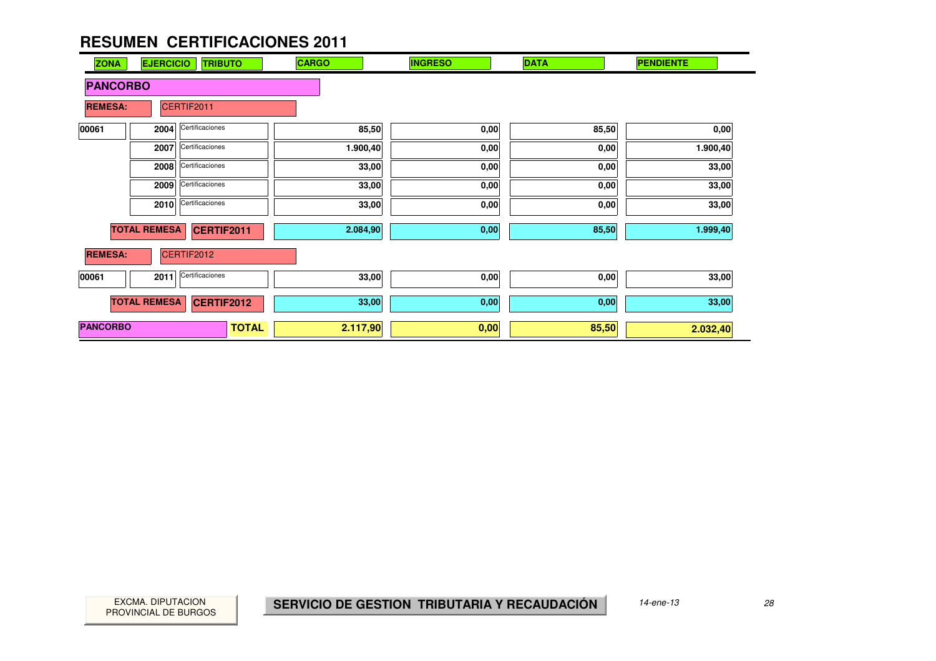| <b>ZONA</b>     | <b>EJERCICIO</b>    | <b>TRIBUTO</b>    | <b>CARGO</b> | <b>INGRESO</b> | <b>DATA</b> | <b>PENDIENTE</b> |
|-----------------|---------------------|-------------------|--------------|----------------|-------------|------------------|
| <b>PANCORBO</b> |                     |                   |              |                |             |                  |
| <b>REMESA:</b>  |                     | CERTIF2011        |              |                |             |                  |
| 00061           | 2004                | Certificaciones   | 85,50        | 0,00           | 85,50       | 0,00             |
|                 | 2007                | Certificaciones   | 1.900,40     | 0,00           | 0,00        | 1.900,40         |
|                 | 2008                | Certificaciones   | 33,00        | 0,00           | 0,00        | 33,00            |
|                 | 2009                | Certificaciones   | 33,00        | 0,00           | 0,00        | 33,00            |
|                 | 2010                | Certificaciones   | 33,00        | 0,00           | 0,00        | 33,00            |
|                 | <b>TOTAL REMESA</b> | CERTIF2011        | 2.084,90     | 0,00           | 85,50       | 1.999,40         |
| <b>REMESA:</b>  |                     | CERTIF2012        |              |                |             |                  |
| 00061           | 2011                | Certificaciones   | 33,00        | 0,00           | 0,00        | 33,00            |
|                 | <b>TOTAL REMESA</b> | <b>CERTIF2012</b> | 33,00        | 0,00           | 0,00        | 33,00            |
| <b>PANCORBO</b> |                     | <b>TOTAL</b>      | 2.117,90     | 0,00           | 85,50       | 2.032,40         |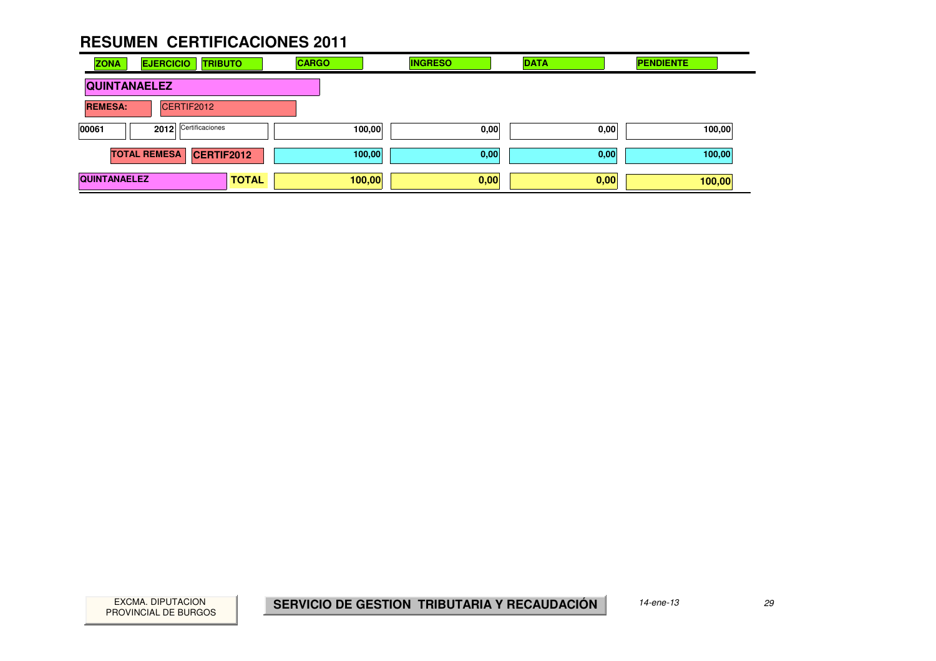| <b>ZONA</b>         | <b>EJERCICIO</b>    | <b>TRIBUTO</b>  |              | <b>CARGO</b> |        | <b>INGRESO</b> | <b>DATA</b> |      | <b>PENDIENTE</b> |  |
|---------------------|---------------------|-----------------|--------------|--------------|--------|----------------|-------------|------|------------------|--|
| <b>QUINTANAELEZ</b> |                     |                 |              |              |        |                |             |      |                  |  |
| <b>REMESA:</b>      |                     | CERTIF2012      |              |              |        |                |             |      |                  |  |
| 00061               | 2012                | Certificaciones |              |              | 100,00 | 0,00           |             | 0,00 | 100,00           |  |
|                     | <b>TOTAL REMESA</b> | CERTIF2012      |              |              | 100,00 | 0,00           |             | 0,00 | 100,00           |  |
| <b>QUINTANAELEZ</b> |                     |                 | <b>TOTAL</b> |              | 100,00 | 0,00           |             | 0,00 | 100,00           |  |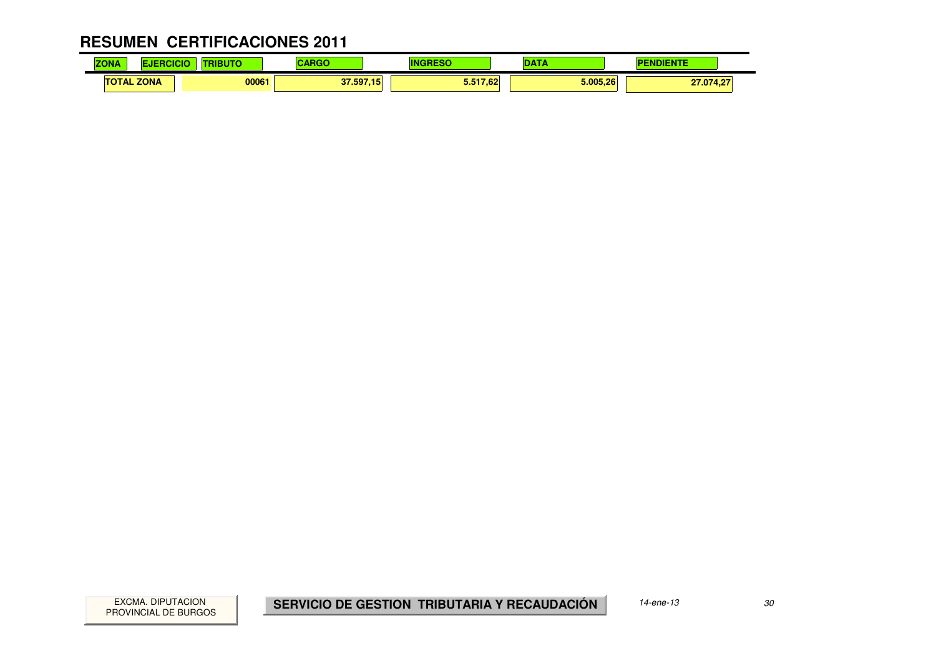#### **RESUMEN CERTIFICACIONES 2011** $\mathbf{r}$

| .<br><b>ZO</b><br>NÆ | . .         |       | ---       | m                                             | . .      | $\sim$    |
|----------------------|-------------|-------|-----------|-----------------------------------------------|----------|-----------|
| ΤО<br>TAL            | <b>ZONA</b> | 00061 | 37.597.15 | <b><i><u>PARK</u></i></b><br>$\sqrt{62}$<br>ັ | 5.005.26 | 27.074,27 |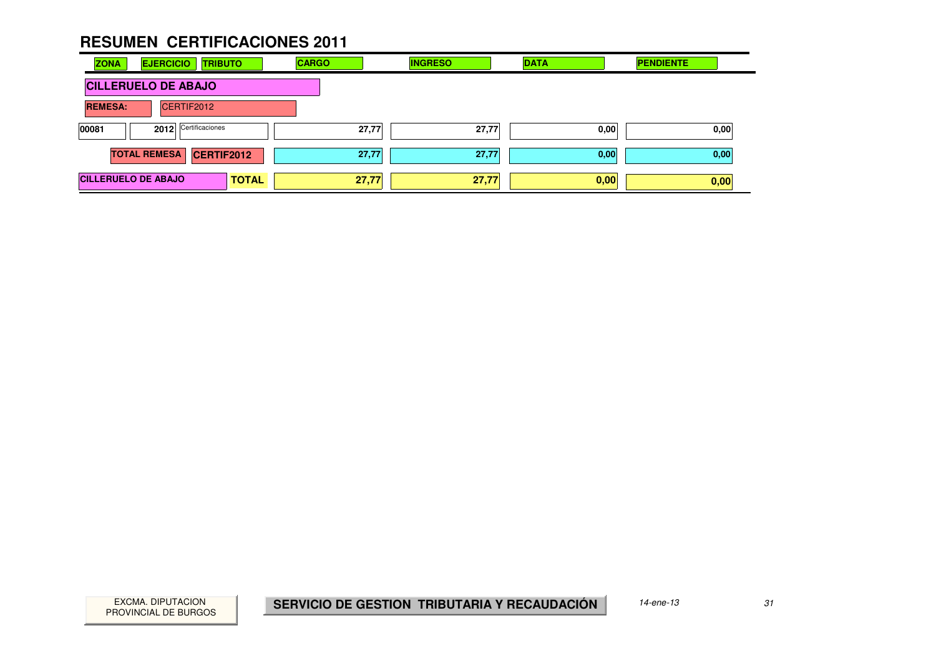| <b>ZONA</b>                | <b>EJERCICIO</b>    | <b>TRIBUTO</b>    |              | <b>CARGO</b> |       | <b>INGRESO</b> | <b>DATA</b> |      | <b>PENDIENTE</b> |      |
|----------------------------|---------------------|-------------------|--------------|--------------|-------|----------------|-------------|------|------------------|------|
| <b>CILLERUELO DE ABAJO</b> |                     |                   |              |              |       |                |             |      |                  |      |
| <b>REMESA:</b>             |                     | CERTIF2012        |              |              |       |                |             |      |                  |      |
| 00081                      | 2012                | Certificaciones   |              |              | 27,77 | 27,77          |             | 0,00 |                  | 0,00 |
|                            | <b>TOTAL REMESA</b> | <b>CERTIF2012</b> |              |              | 27,77 | 27,77          |             | 0,00 |                  | 0,00 |
| <b>CILLERUELO DE ABAJO</b> |                     |                   | <b>TOTAL</b> |              | 27,77 | 27,77          |             | 0,00 |                  | 0,00 |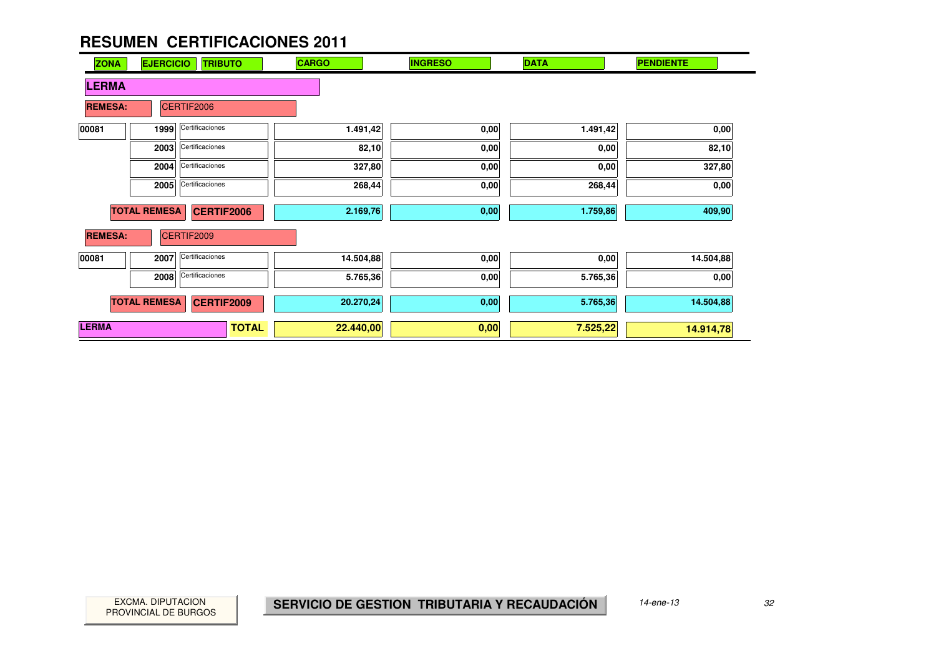| <b>ZONA</b>    | <b>EJERCICIO</b><br><b>TRIBUTO</b>       | <b>CARGO</b> | <b>INGRESO</b> | <b>DATA</b> | <b>PENDIENTE</b> |
|----------------|------------------------------------------|--------------|----------------|-------------|------------------|
| <b>LERMA</b>   |                                          |              |                |             |                  |
| <b>REMESA:</b> | CERTIF2006                               |              |                |             |                  |
| 00081          | Certificaciones<br>1999                  | 1.491,42     | 0,00           | 1.491,42    | 0,00             |
|                | Certificaciones<br>2003                  | 82,10        | 0,00           | 0,00        | 82,10            |
|                | Certificaciones<br>2004                  | 327,80       | 0,00           | 0,00        | 327,80           |
|                | Certificaciones<br>2005                  | 268,44       | 0,00           | 268,44      | 0,00             |
|                | <b>TOTAL REMESA</b><br><b>CERTIF2006</b> | 2.169,76     | 0,00           | 1.759,86    | 409,90           |
| <b>REMESA:</b> | CERTIF2009                               |              |                |             |                  |
| 00081          | Certificaciones<br>2007                  | 14.504,88    | 0,00           | 0,00        | 14.504,88        |
|                | Certificaciones<br>2008                  | 5.765,36     | 0,00           | 5.765,36    | 0,00             |
|                | <b>TOTAL REMESA</b><br><b>CERTIF2009</b> | 20.270,24    | 0,00           | 5.765,36    | 14.504,88        |
| <b>LERMA</b>   | <b>TOTAL</b>                             | 22.440,00    | 0,00           | 7.525,22    | 14.914,78        |

and the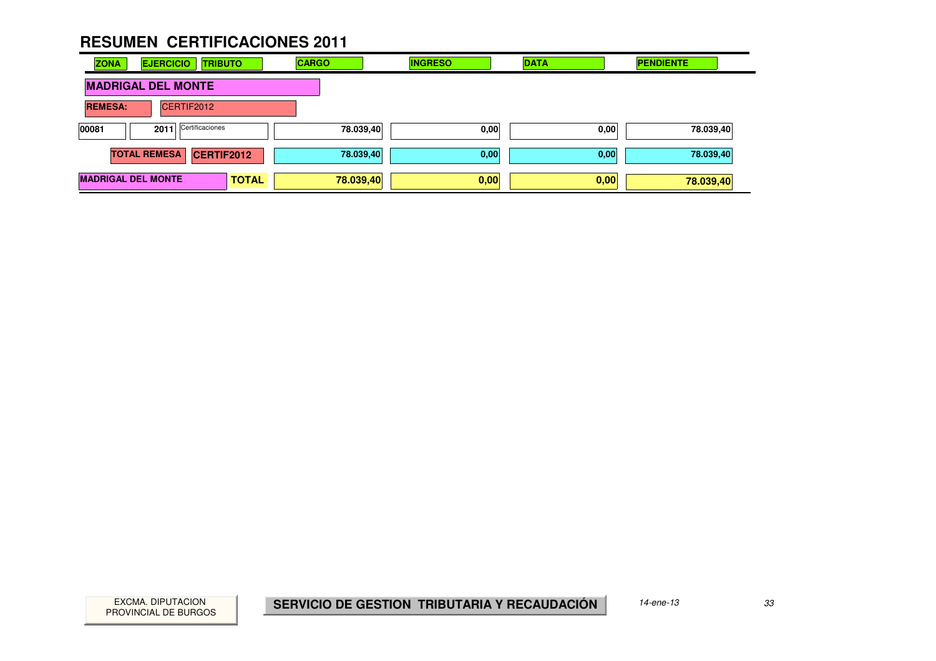| <b>ZONA</b>               | <b>EJERCICIO</b><br><b>TRIBUTO</b>       |              | <b>CARGO</b> | <b>INGRESO</b> | <b>DATA</b> | <b>PENDIENTE</b> |
|---------------------------|------------------------------------------|--------------|--------------|----------------|-------------|------------------|
|                           | <b>MADRIGAL DEL MONTE</b>                |              |              |                |             |                  |
| <b>REMESA:</b>            | CERTIF2012                               |              |              |                |             |                  |
| 00081                     | Certificaciones<br>2011                  |              | 78.039,40    | 0,00           | 0,00        | 78.039,40        |
|                           | <b>TOTAL REMESA</b><br><b>CERTIF2012</b> |              | 78.039,40    | 0,00           | 0,00        | 78.039,40        |
| <b>MADRIGAL DEL MONTE</b> |                                          | <b>TOTAL</b> | 78.039,40    | 0,00           | 0,00        | 78.039,40        |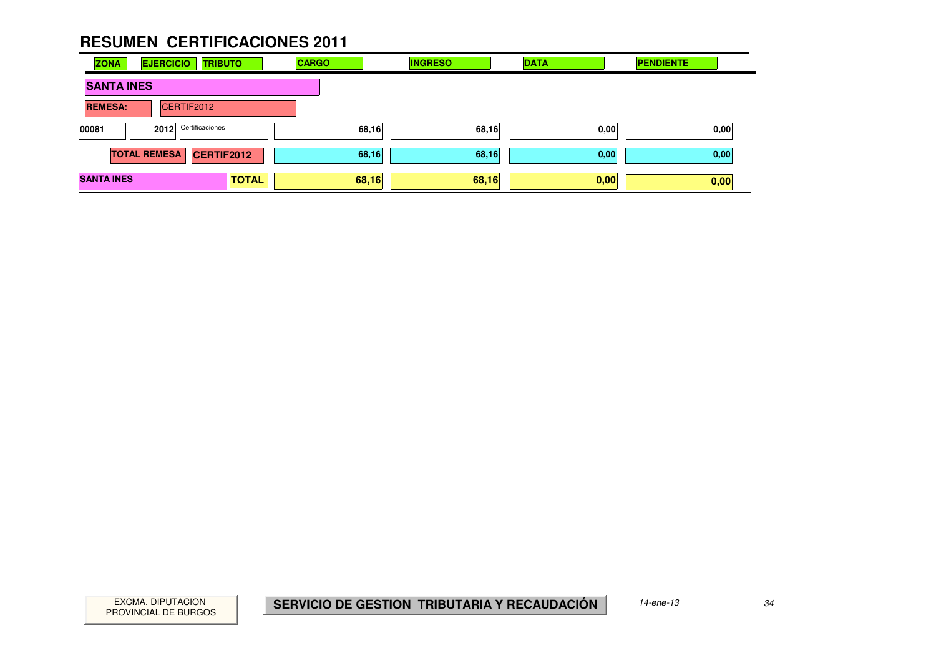| <b>ZONA</b>       | <b>EJERCICIO</b><br><b>TRIBUTO</b>       | <b>CARGO</b> | <b>INGRESO</b> | <b>DATA</b> | <b>PENDIENTE</b> |
|-------------------|------------------------------------------|--------------|----------------|-------------|------------------|
| <b>SANTA INES</b> |                                          |              |                |             |                  |
| <b>REMESA:</b>    | CERTIF2012                               |              |                |             |                  |
| 00081             | Certificaciones<br>2012                  | 68,16        | 68,16          | 0,00        | 0,00             |
|                   | <b>TOTAL REMESA</b><br><b>CERTIF2012</b> | 68,16        | 68,16          | 0,00        | 0,00             |
| <b>SANTA INES</b> | <b>TOTAL</b>                             | 68,16        | 68,16          | 0,00        | 0,00             |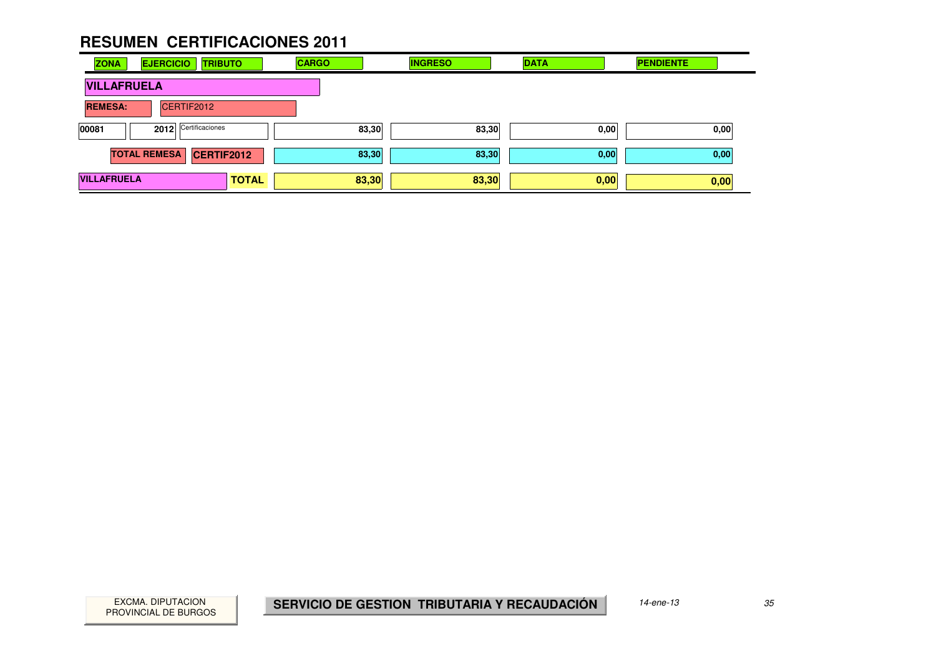| <b>ZONA</b>        | <b>EJERCICIO</b>    | <b>TRIBUTO</b>  |              | <b>CARGO</b> |       | <b>INGRESO</b> | <b>DATA</b> |      | <b>PENDIENTE</b> |      |
|--------------------|---------------------|-----------------|--------------|--------------|-------|----------------|-------------|------|------------------|------|
| <b>VILLAFRUELA</b> |                     |                 |              |              |       |                |             |      |                  |      |
| <b>REMESA:</b>     |                     | CERTIF2012      |              |              |       |                |             |      |                  |      |
| 00081              | 2012                | Certificaciones |              |              | 83,30 | 83,30          |             | 0,00 |                  | 0,00 |
|                    | <b>TOTAL REMESA</b> | CERTIF2012      |              |              | 83,30 | 83,30          |             | 0,00 |                  | 0,00 |
| <b>VILLAFRUELA</b> |                     |                 | <b>TOTAL</b> |              | 83,30 | 83,30          |             | 0,00 |                  | 0,00 |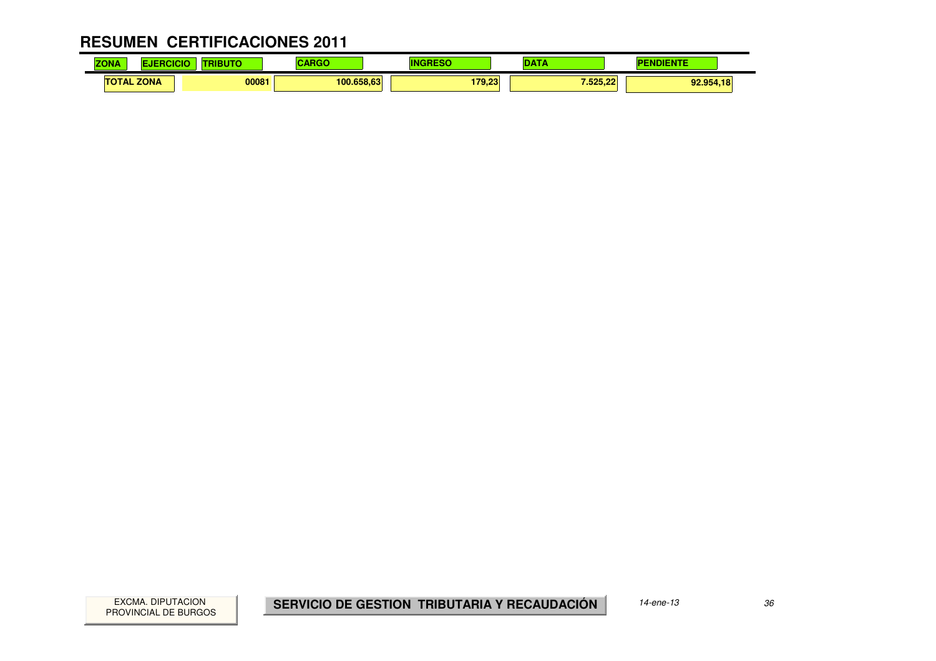#### **RESUMEN CERTIFICACIONES 2011** $\mathbf{r}$

| <b>ZONA</b>       | <b>ALCOHOL:</b><br>3 U | $\sim$ $\sim$ $\sim$ |                 | $-$      | <b><i><u>PARTICULAR</u></i></b><br>. |
|-------------------|------------------------|----------------------|-----------------|----------|--------------------------------------|
| <b>TOTAL ZONA</b> | 00081                  | 100.658.63           | 170.92<br>79.40 | 7.525.22 | 92.954,18                            |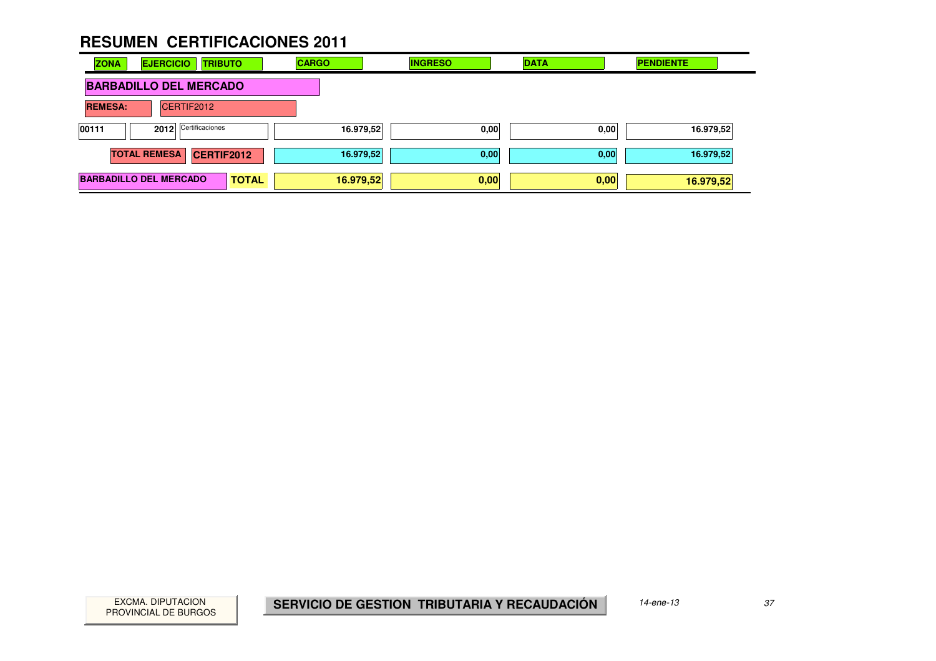| <b>ZONA</b>    | <b>EJERCICIO</b><br><b>TRIBUTO</b>            | <b>CARGO</b> | <b>INGRESO</b> | <b>DATA</b> | <b>PENDIENTE</b> |
|----------------|-----------------------------------------------|--------------|----------------|-------------|------------------|
|                | <b>BARBADILLO DEL MERCADO</b>                 |              |                |             |                  |
| <b>REMESA:</b> | CERTIF2012                                    |              |                |             |                  |
| 00111          | 2012 Certificaciones                          | 16.979,52    | 0,00           | 0,00        | 16.979,52        |
|                | <b>TOTAL REMESA</b><br>CERTIF2012             | 16.979,52    | 0,00           | 0,00        | 16.979,52        |
|                | <b>BARBADILLO DEL MERCADO</b><br><b>TOTAL</b> | 16.979,52    | 0,00           | 0,00        | 16.979,52        |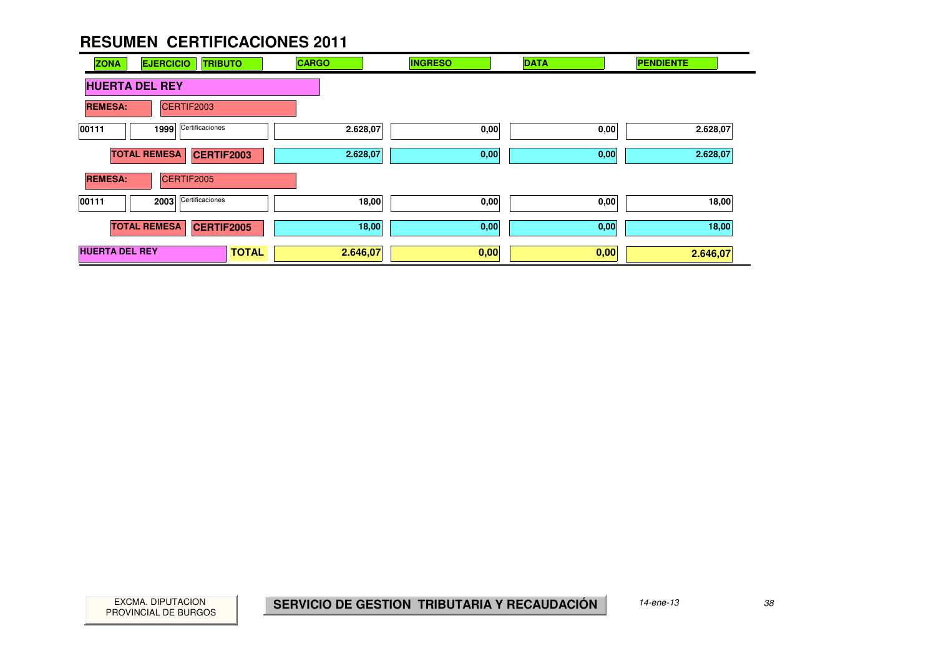| <b>ZONA</b>           | <b>EJERCICIO</b><br><b>TRIBUTO</b> | <b>CARGO</b> | <b>INGRESO</b> | <b>DATA</b> | <b>PENDIENTE</b> |
|-----------------------|------------------------------------|--------------|----------------|-------------|------------------|
| <b>HUERTA DEL REY</b> |                                    |              |                |             |                  |
| <b>REMESA:</b>        | CERTIF2003                         |              |                |             |                  |
| 00111                 | Certificaciones<br>1999            | 2.628,07     | 0,00           | 0,00        | 2.628,07         |
|                       | <b>TOTAL REMESA</b><br>CERTIF2003  | 2.628,07     | 0,00           | 0,00        | 2.628,07         |
| <b>REMESA:</b>        | CERTIF2005                         |              |                |             |                  |
| 00111                 | Certificaciones<br>2003            | 18,00        | 0,00           | 0,00        | 18,00            |
|                       | <b>TOTAL REMESA</b><br>CERTIF2005  | 18,00        | 0,00           | 0,00        | 18,00            |
| <b>HUERTA DEL REY</b> | <b>TOTAL</b>                       | 2.646,07     | 0,00           | 0,00        | 2.646,07         |

PROVINCIAL DE BURGOS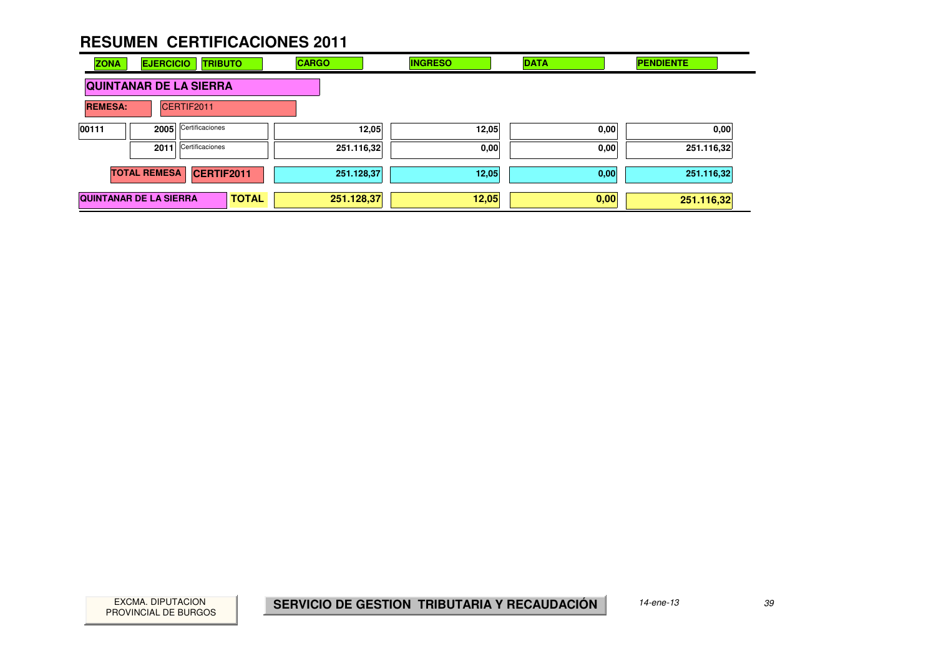| <b>ZONA</b>                   | <b>EJERCICIO</b>              | <b>TRIBUTO</b>  | <b>CARGO</b> | <b>INGRESO</b> | <b>DATA</b> | <b>PENDIENTE</b> |
|-------------------------------|-------------------------------|-----------------|--------------|----------------|-------------|------------------|
| <b>QUINTANAR DE LA SIERRA</b> |                               |                 |              |                |             |                  |
| <b>REMESA:</b>                | CERTIF2011                    |                 |              |                |             |                  |
| 00111                         | 2005 Certificaciones          |                 | 12,05        | 12,05          | 0,00        | 0,00             |
|                               | 2011                          | Certificaciones | 251.116,32   | 0,00           | 0,00        | 251.116,32       |
|                               | <b>TOTAL REMESA</b>           | CERTIF2011      | 251.128,37   | 12,05          | 0,00        | 251.116,32       |
|                               | <b>QUINTANAR DE LA SIERRA</b> | <b>TOTAL</b>    | 251.128,37   | 12,05          | 0,00        | 251.116,32       |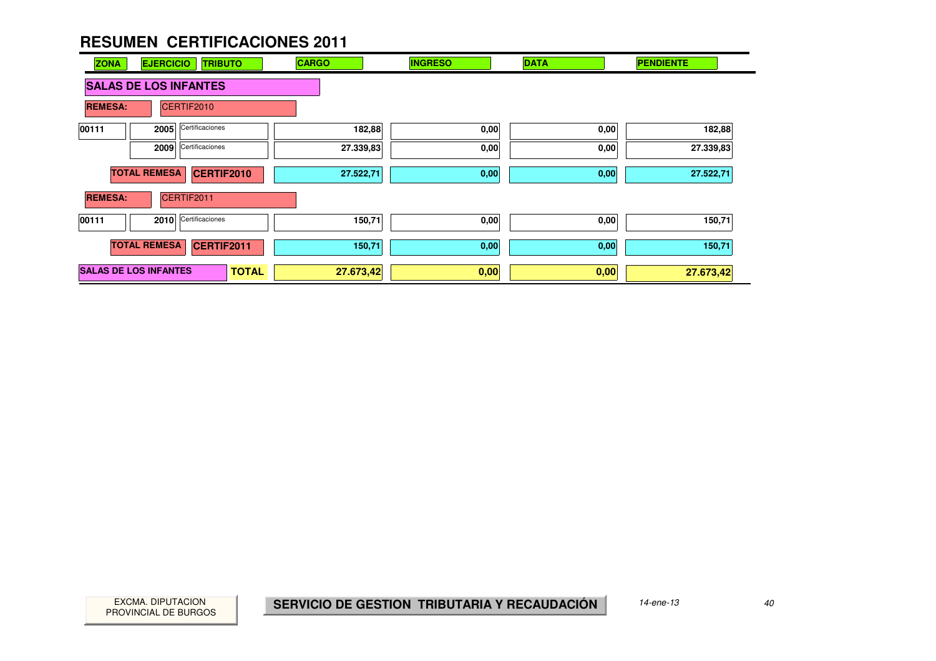| <b>ZONA</b>    | <b>EJERCICIO</b><br><b>TRIBUTO</b>           | <b>CARGO</b> | <b>INGRESO</b> | <b>DATA</b> | <b>PENDIENTE</b> |
|----------------|----------------------------------------------|--------------|----------------|-------------|------------------|
|                | <b>SALAS DE LOS INFANTES</b>                 |              |                |             |                  |
| <b>REMESA:</b> | CERTIF2010                                   |              |                |             |                  |
| 00111          | Certificaciones<br>2005                      | 182,88       | 0,00           | 0,00        | 182,88           |
|                | Certificaciones<br>2009                      | 27.339,83    | 0,00           | 0,00        | 27.339,83        |
|                | <b>TOTAL REMESA</b><br>CERTIF2010            | 27.522,71    | 0,00           | 0,00        | 27.522,71        |
| <b>REMESA:</b> | CERTIF2011                                   |              |                |             |                  |
| 00111          | Certificaciones<br>2010                      | 150,71       | 0,00           | 0,00        | 150,71           |
|                | <b>TOTAL REMESA</b><br>CERTIF2011            | 150,71       | 0,00           | 0,00        | 150,71           |
|                | <b>SALAS DE LOS INFANTES</b><br><b>TOTAL</b> | 27.673,42    | 0,00           | 0,00        | 27.673,42        |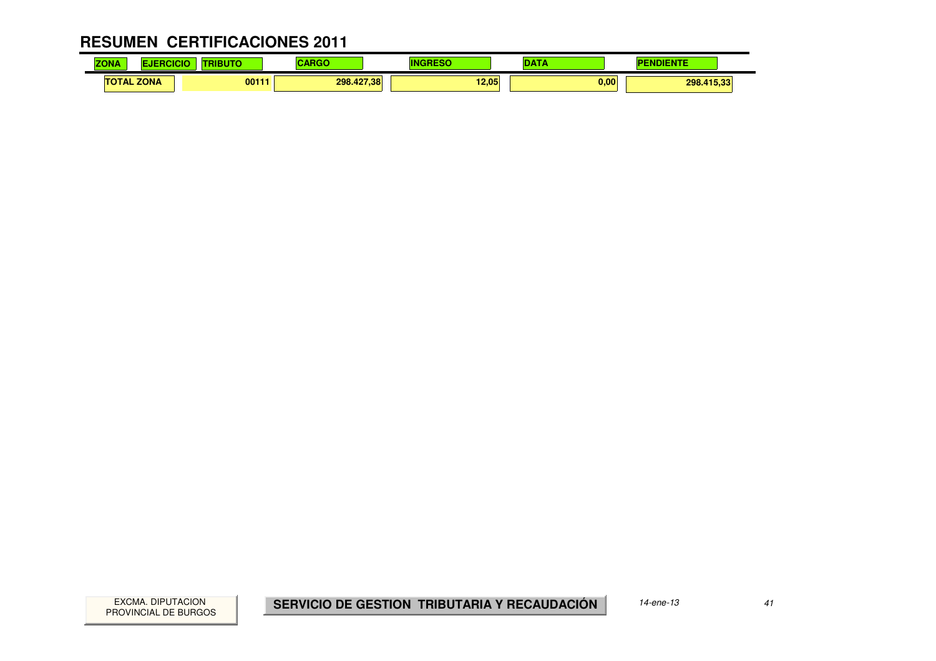#### **RESUMEN CERTIFICACIONES 2011** $\mathbf{r}$

| <b>ZONA</b>       | 1,177,4<br>3 U | ADOR       |       | $-$  | <b>The Second Contract of the Second Contract</b><br>. |
|-------------------|----------------|------------|-------|------|--------------------------------------------------------|
| <b>TOTAL ZONA</b> | 00111          | 298.427,38 | 12.05 | 0.00 | 298.415,33                                             |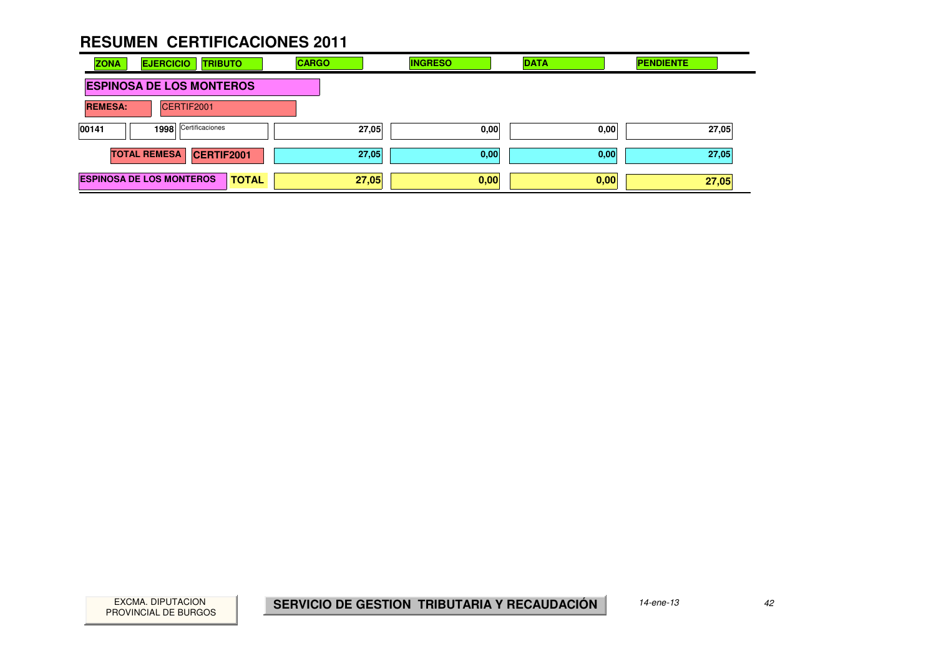| <b>ZONA</b>    | <b>EJERCICIO</b><br><b>TRIBUTO</b>              | <b>CARGO</b> | <b>INGRESO</b> | <b>DATA</b> | <b>PENDIENTE</b> |
|----------------|-------------------------------------------------|--------------|----------------|-------------|------------------|
|                | <b>ESPINOSA DE LOS MONTEROS</b>                 |              |                |             |                  |
| <b>REMESA:</b> | CERTIF2001                                      |              |                |             |                  |
| 00141          | 1998 Certificaciones                            | 27,05        | 0,00           | 0,00        | 27,05            |
|                | <b>TOTAL REMESA</b><br>CERTIF2001               | 27,05        | 0,00           | 0,00        | 27,05            |
|                | <b>ESPINOSA DE LOS MONTEROS</b><br><b>TOTAL</b> | 27,05        | 0,00           | 0,00        | 27,05            |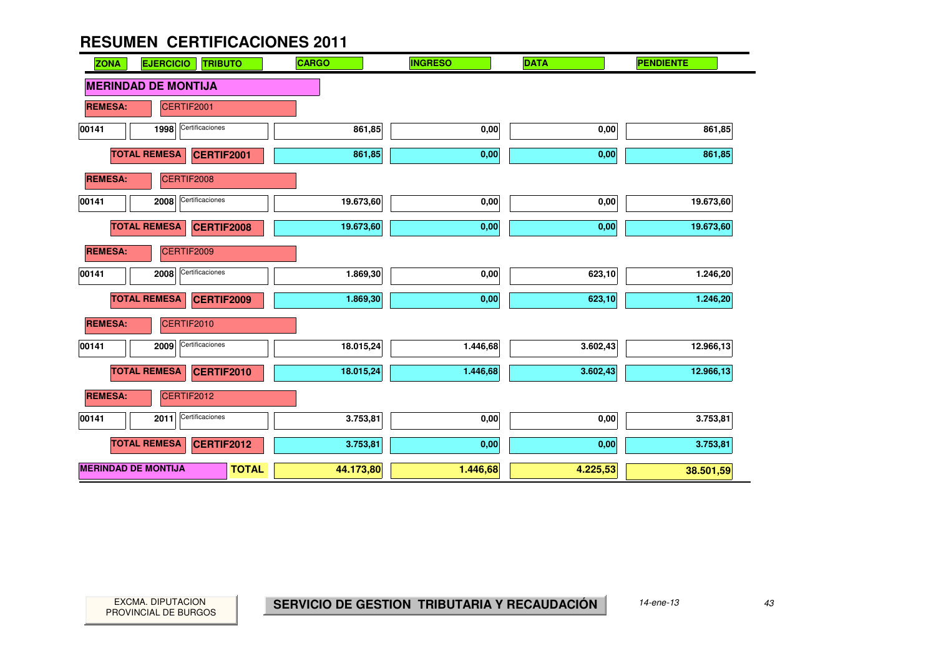| <b>ZONA</b>                | <b>EJERCICIO</b><br><b>TRIBUTO</b>       | <b>CARGO</b> | <b>INGRESO</b> | <b>DATA</b> | <b>PENDIENTE</b>      |  |  |  |  |  |
|----------------------------|------------------------------------------|--------------|----------------|-------------|-----------------------|--|--|--|--|--|
|                            | <b>MERINDAD DE MONTIJA</b>               |              |                |             |                       |  |  |  |  |  |
| <b>REMESA:</b>             | CERTIF2001                               |              |                |             |                       |  |  |  |  |  |
| 00141                      | Certificaciones<br>1998                  | 861,85       | 0,00           | 0,00        | 861,85                |  |  |  |  |  |
|                            | <b>TOTAL REMESA</b><br>CERTIF2001        | 861,85       | 0,00           | 0,00        | 861,85                |  |  |  |  |  |
| <b>REMESA:</b>             | CERTIF2008                               |              |                |             |                       |  |  |  |  |  |
| 00141                      | Certificaciones<br>2008                  | 19.673,60    | 0,00           | 0,00        | 19.673,60             |  |  |  |  |  |
|                            | <b>TOTAL REMESA</b><br>CERTIF2008        | 19.673,60    | 0,00           | 0,00        | 19.673,60             |  |  |  |  |  |
| <b>REMESA:</b>             | CERTIF2009                               |              |                |             |                       |  |  |  |  |  |
| 00141                      | Certificaciones<br>2008                  | 1.869,30     | 0,00           | 623,10      | $\overline{1.246,20}$ |  |  |  |  |  |
|                            | <b>TOTAL REMESA</b><br><b>CERTIF2009</b> | 1.869,30     | 0,00           | 623,10      | 1.246,20              |  |  |  |  |  |
| <b>REMESA:</b>             | CERTIF2010                               |              |                |             |                       |  |  |  |  |  |
| 00141                      | Certificaciones<br>2009                  | 18.015,24    | 1.446,68       | 3.602,43    | 12.966,13             |  |  |  |  |  |
|                            | <b>TOTAL REMESA</b><br><b>CERTIF2010</b> | 18.015,24    | 1.446,68       | 3.602,43    | 12.966,13             |  |  |  |  |  |
| <b>REMESA:</b>             | CERTIF2012                               |              |                |             |                       |  |  |  |  |  |
| 00141                      | Certificaciones<br>2011                  | 3.753,81     | 0,00           | 0,00        | 3.753,81              |  |  |  |  |  |
|                            | <b>TOTAL REMESA</b><br><b>CERTIF2012</b> | 3.753,81     | 0,00           | 0,00        | 3.753,81              |  |  |  |  |  |
| <b>MERINDAD DE MONTIJA</b> | <b>TOTAL</b>                             | 44.173,80    | 1.446,68       | 4.225,53    | 38.501,59             |  |  |  |  |  |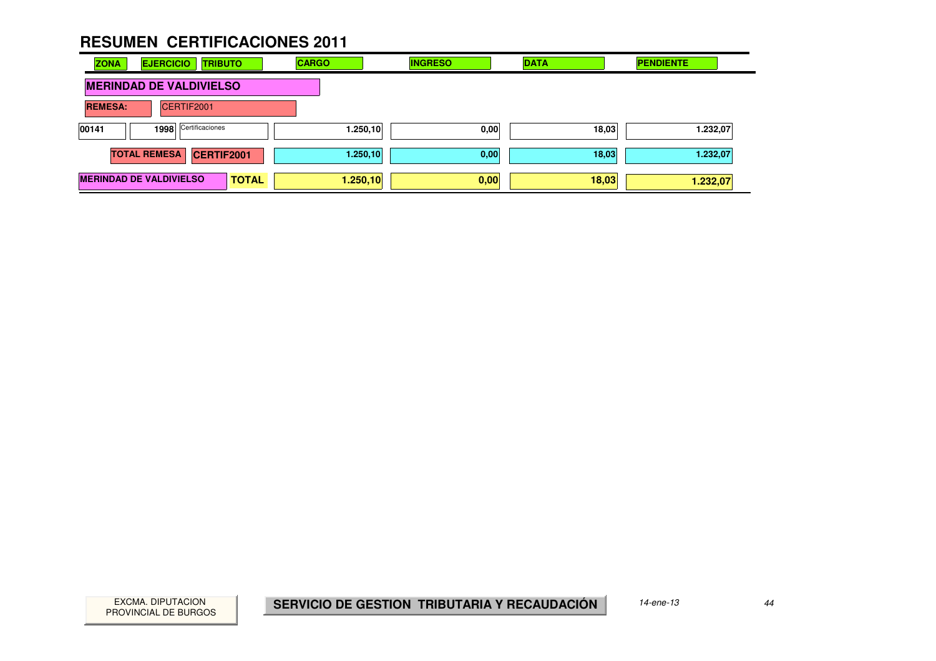| <b>ZONA</b>    | <b>EJERCICIO</b><br><b>TRIBUTO</b>             | <b>CARGO</b> | <b>INGRESO</b> | <b>DATA</b> | <b>PENDIENTE</b> |
|----------------|------------------------------------------------|--------------|----------------|-------------|------------------|
|                | <b>MERINDAD DE VALDIVIELSO</b>                 |              |                |             |                  |
| <b>REMESA:</b> | CERTIF2001                                     |              |                |             |                  |
| 00141          | 1998 Certificaciones                           | 1.250, 10    | 0,00           | 18,03       | 1.232,07         |
|                | <b>TOTAL REMESA</b><br>CERTIF2001              | 1.250, 10    | 0,00           | 18,03       | 1.232,07         |
|                | <b>MERINDAD DE VALDIVIELSO</b><br><b>TOTAL</b> | 1.250, 10    | 0,00           | 18,03       | 1.232,07         |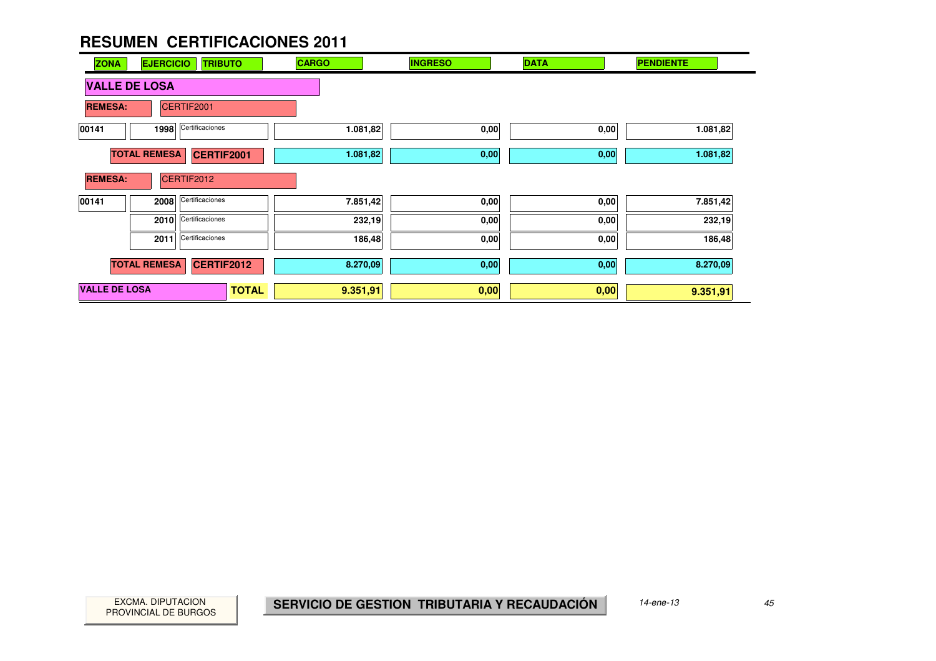| <b>ZONA</b>          | <b>EJERCICIO</b>    | <b>TRIBUTO</b>       | <b>CARGO</b> |          | <b>INGRESO</b> | <b>DATA</b> | <b>PENDIENTE</b> |
|----------------------|---------------------|----------------------|--------------|----------|----------------|-------------|------------------|
| <b>VALLE DE LOSA</b> |                     |                      |              |          |                |             |                  |
| <b>REMESA:</b>       |                     | CERTIF2001           |              |          |                |             |                  |
| 00141                | 1998                | Certificaciones      |              | 1.081,82 | 0,00           | 0,00        | 1.081,82         |
|                      | <b>TOTAL REMESA</b> | CERTIF2001           |              | 1.081,82 | 0,00           | 0,00        | 1.081,82         |
| <b>REMESA:</b>       |                     | CERTIF2012           |              |          |                |             |                  |
| 00141                | 2008                | Certificaciones      |              | 7.851,42 | 0,00           | 0,00        | 7.851,42         |
|                      |                     | 2010 Certificaciones |              | 232,19   | 0,00           | 0,00        | 232,19           |
|                      | 2011                | Certificaciones      |              | 186,48   | 0,00           | 0,00        | 186,48           |
|                      | <b>TOTAL REMESA</b> | CERTIF2012           |              | 8.270,09 | 0,00           | 0,00        | 8.270,09         |
| <b>VALLE DE LOSA</b> |                     |                      | <b>TOTAL</b> | 9.351,91 | 0,00           | 0,00        | 9.351,91         |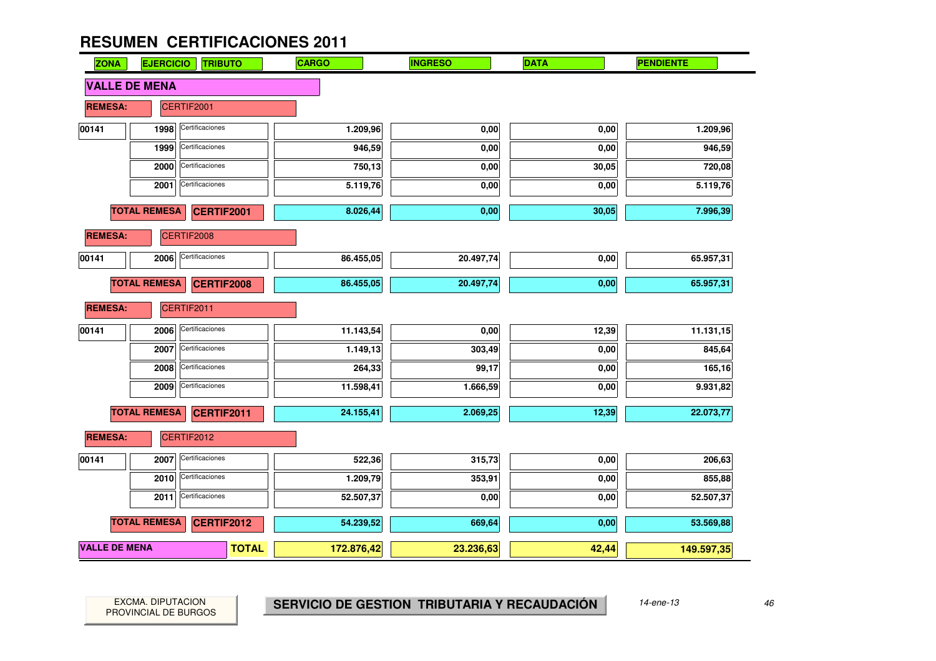

EXCMA. DIPUTACION **14-ene-13 SERVICIO DE GESTION TRIBUTARIA Y RECAUDACIÓN** 14-ene-13 14-ene-13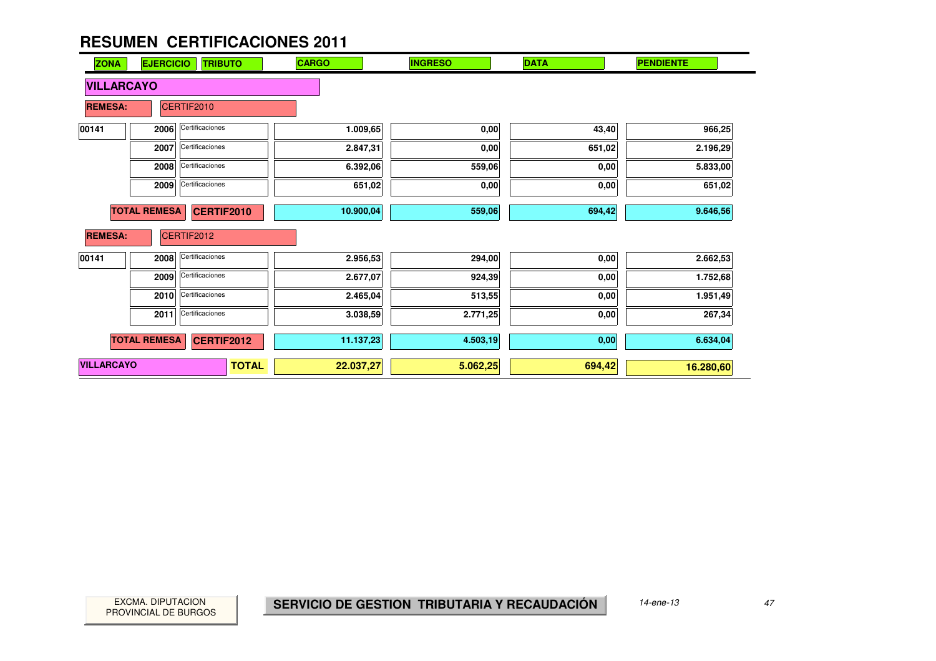| <b>ZONA</b>       | <b>EJERCICIO</b>    | <b>TRIBUTO</b>    | <b>CARGO</b> | <b>INGRESO</b> | <b>DATA</b> | <b>PENDIENTE</b> |
|-------------------|---------------------|-------------------|--------------|----------------|-------------|------------------|
| <b>VILLARCAYO</b> |                     |                   |              |                |             |                  |
| <b>REMESA:</b>    |                     | CERTIF2010        |              |                |             |                  |
| 00141             | 2006                | Certificaciones   | 1.009,65     | 0,00           | 43,40       | 966,25           |
|                   | 2007                | Certificaciones   | 2.847,31     | 0,00           | 651,02      | 2.196,29         |
|                   | 2008                | Certificaciones   | 6.392,06     | 559,06         | 0,00        | 5.833,00         |
|                   | 2009                | Certificaciones   | 651,02       | 0,00           | 0,00        | 651,02           |
|                   | <b>TOTAL REMESA</b> | <b>CERTIF2010</b> | 10.900,04    | 559,06         | 694,42      | 9.646,56         |
| <b>REMESA:</b>    |                     | CERTIF2012        |              |                |             |                  |
| 00141             | 2008                | Certificaciones   | 2.956,53     | 294,00         | 0,00        | 2.662,53         |
|                   | 2009                | Certificaciones   | 2.677,07     | 924,39         | 0,00        | 1.752,68         |
|                   | 2010                | Certificaciones   | 2.465,04     | 513,55         | 0,00        | 1.951,49         |
|                   | 2011                | Certificaciones   | 3.038,59     | 2.771,25       | 0,00        | 267,34           |
|                   | <b>TOTAL REMESA</b> | <b>CERTIF2012</b> | 11.137,23    | 4.503,19       | 0,00        | 6.634,04         |
| <b>VILLARCAYO</b> |                     | <b>TOTAL</b>      | 22.037,27    | 5.062,25       | 694,42      | 16.280,60        |

 $\sim$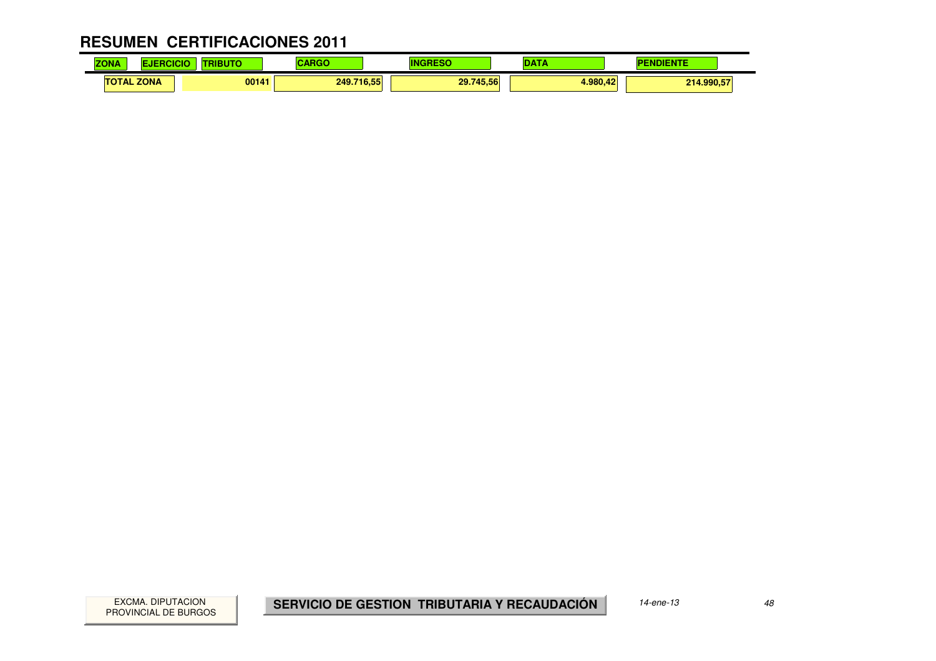#### **RESUMEN CERTIFICACIONES 2011** $\mathbf{r}$

| <b>ZONA</b>                      | .     | --             |           |         | . .        |
|----------------------------------|-------|----------------|-----------|---------|------------|
| <b>ZONA</b><br>.<br>$\mathbf{A}$ | 00141 | .716.55<br>249 | 29.745,56 | .980.42 | 214.990,57 |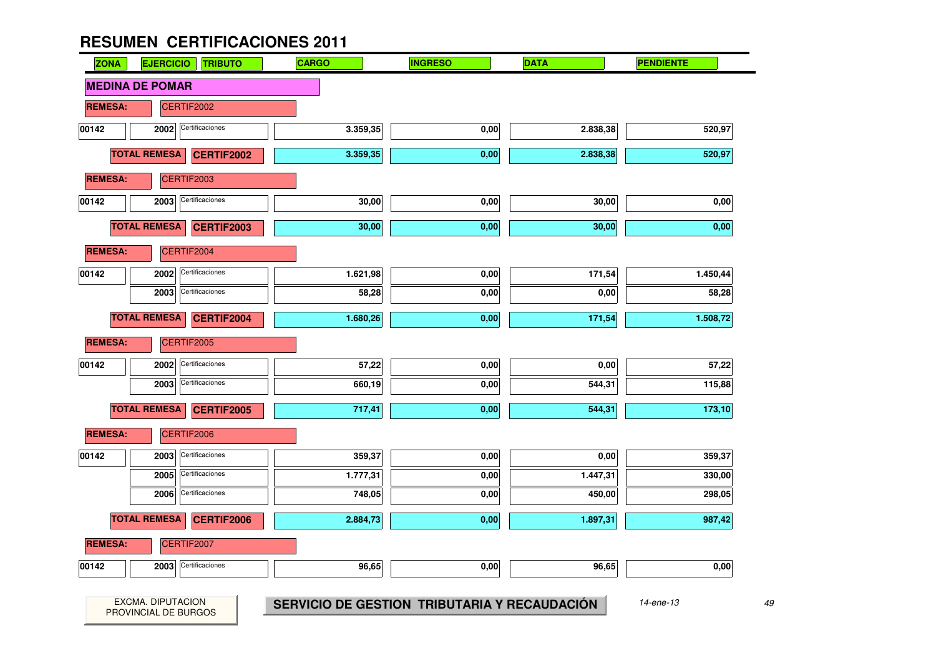

PROVINCIAL DE BURGOS

EXCMA. DIPUTACION **14-ene-13 SERVICIO DE GESTION TRIBUTARIA Y RECAUDACIÓN** 14-ene-13 14-ene-13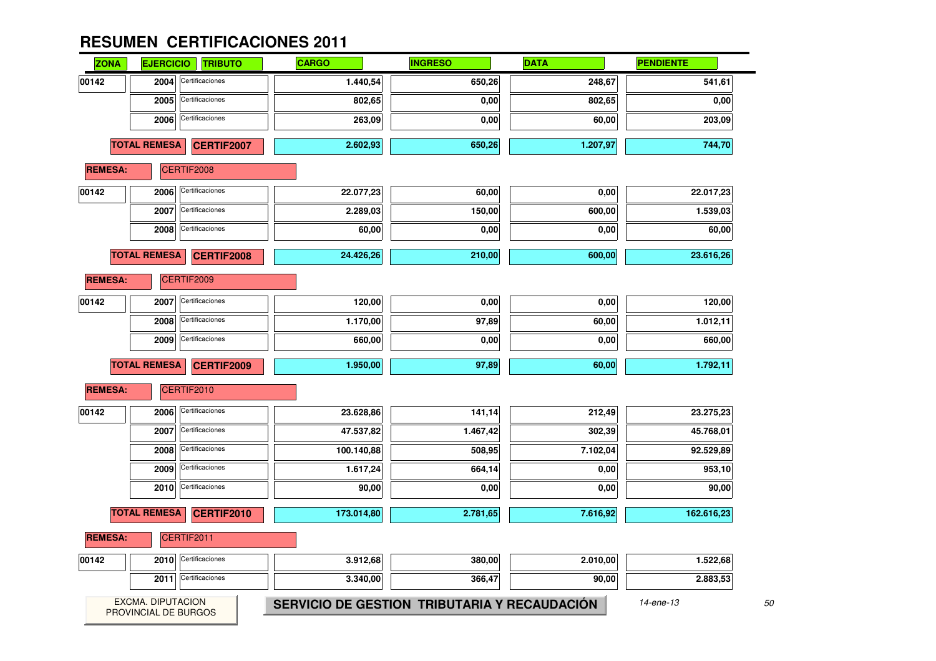| <b>ZONA</b>    | <b>EJERCICIO</b>    | <b>TRIBUTO</b>    | <b>CARGO</b> | <b>INGRESO</b> | <b>DATA</b> | <b>PENDIENTE</b> |
|----------------|---------------------|-------------------|--------------|----------------|-------------|------------------|
| 00142          | 2004                | Certificaciones   | 1.440,54     | 650,26         | 248,67      | 541,61           |
|                | 2005                | Certificaciones   | 802,65       | 0,00           | 802,65      | 0,00             |
|                | 2006                | Certificaciones   | 263,09       | 0,00           | 60,00       | 203,09           |
|                | <b>TOTAL REMESA</b> | <b>CERTIF2007</b> | 2.602,93     | 650,26         | 1.207,97    | 744,70           |
| <b>REMESA:</b> |                     | CERTIF2008        |              |                |             |                  |
| 00142          | 2006                | Certificaciones   | 22.077,23    | 60,00          | 0,00        | 22.017,23        |
|                | 2007                | Certificaciones   | 2.289,03     | 150,00         | 600,00      | 1.539,03         |
|                | 2008                | Certificaciones   | 60,00        | 0,00           | 0,00        | 60,00            |
|                | <b>TOTAL REMESA</b> | <b>CERTIF2008</b> | 24.426,26    | 210,00         | 600,00      | 23.616,26        |
| <b>REMESA:</b> |                     | CERTIF2009        |              |                |             |                  |
| 00142          | 2007                | Certificaciones   | 120,00       | 0,00           | 0,00        | 120,00           |
|                | 2008                | Certificaciones   | 1.170,00     | 97,89          | 60,00       | 1.012,11         |
|                | 2009                | Certificaciones   | 660,00       | 0,00           | 0,00        | 660,00           |
|                | <b>TOTAL REMESA</b> | <b>CERTIF2009</b> | 1.950,00     | 97,89          | 60,00       | 1.792,11         |
| <b>REMESA:</b> |                     | CERTIF2010        |              |                |             |                  |
| 00142          | 2006                | Certificaciones   | 23.628,86    | 141,14         | 212,49      | 23.275,23        |
|                | 2007                | Certificaciones   | 47.537,82    | 1.467,42       | 302,39      | 45.768,01        |
|                | 2008                | Certificaciones   | 100.140,88   | 508,95         | 7.102,04    | 92.529,89        |
|                | 2009                | Certificaciones   | 1.617,24     | 664,14         | 0,00        | 953,10           |
|                | 2010                | Certificaciones   | 90,00        | 0,00           | 0,00        | 90,00            |
|                | <b>TOTAL REMESA</b> | <b>CERTIF2010</b> | 173.014,80   | 2.781,65       | 7.616,92    | 162.616,23       |
| <b>REMESA:</b> |                     | CERTIF2011        |              |                |             |                  |
|                |                     | Certificaciones   | 3.912,68     | 380,00         | 2.010,00    | 1.522,68         |
| 00142          | 2010                |                   |              |                |             |                  |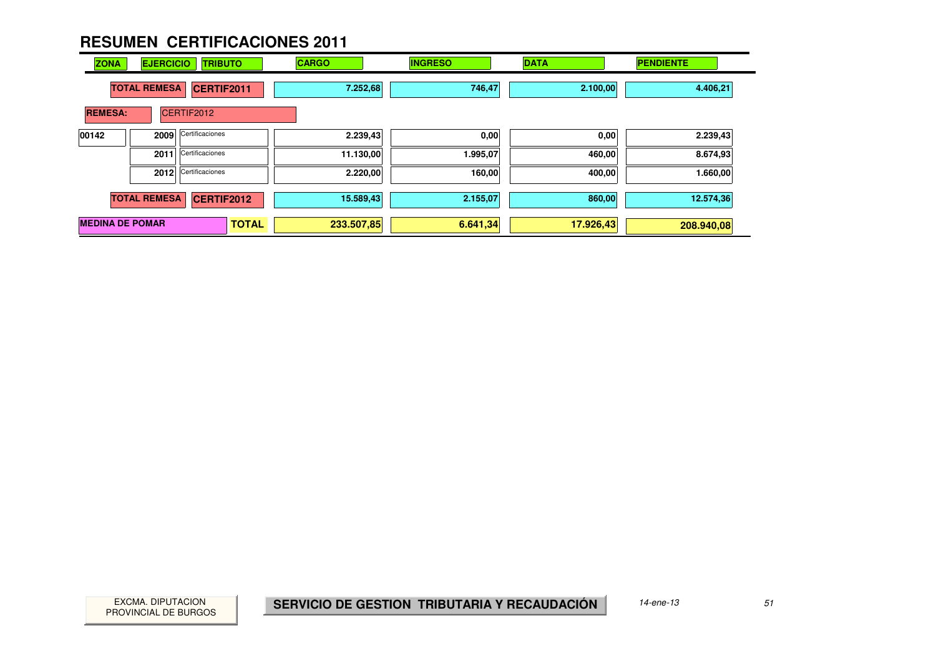| <b>ZONA</b>            | <b>EJERCICIO</b>    | <b>TRIBUTO</b>  | <b>CARGO</b> | <b>INGRESO</b> | <b>DATA</b> | <b>PENDIENTE</b> |
|------------------------|---------------------|-----------------|--------------|----------------|-------------|------------------|
|                        | <b>TOTAL REMESA</b> | CERTIF2011      | 7.252,68     | 746,47         | 2.100,00    | 4.406,21         |
| <b>REMESA:</b>         |                     | CERTIF2012      |              |                |             |                  |
| 00142                  | 2009                | Certificaciones | 2.239,43     | 0,00           | 0,00        | 2.239,43         |
|                        | 2011                | Certificaciones | 11.130,00    | 1.995,07       | 460,00      | 8.674,93         |
|                        | 2012                | Certificaciones | 2.220,00     | 160,00         | 400,00      | 1.660,00         |
|                        | <b>TOTAL REMESA</b> | CERTIF2012      | 15.589,43    | 2.155,07       | 860,00      | 12.574,36        |
| <b>MEDINA DE POMAR</b> |                     | <b>TOTAL</b>    | 233.507,85   | 6.641,34       | 17.926,43   | 208.940,08       |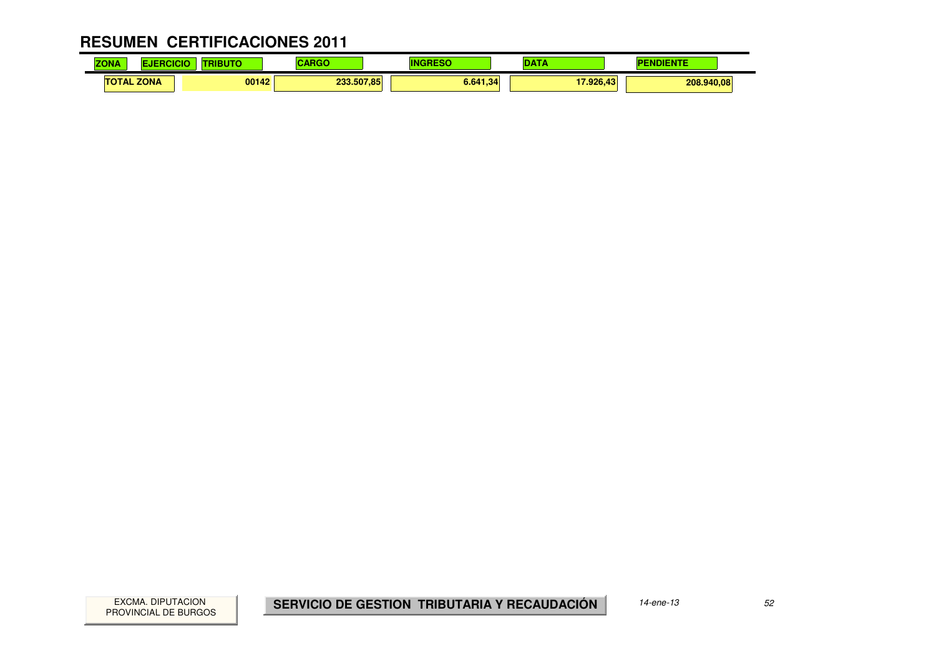#### **RESUMEN CERTIFICACIONES 2011** $\mathbf{r}$

| <b>ZONA</b>       | <b>ALCOHOL:</b><br>3 U | ADAC       |          | $-$       | <b>CONTRACTOR</b><br>. |  |
|-------------------|------------------------|------------|----------|-----------|------------------------|--|
| <b>TOTAL ZONA</b> | 00142                  | 233.507.85 | 6.641,34 | 17.926.43 | 208.940,08             |  |